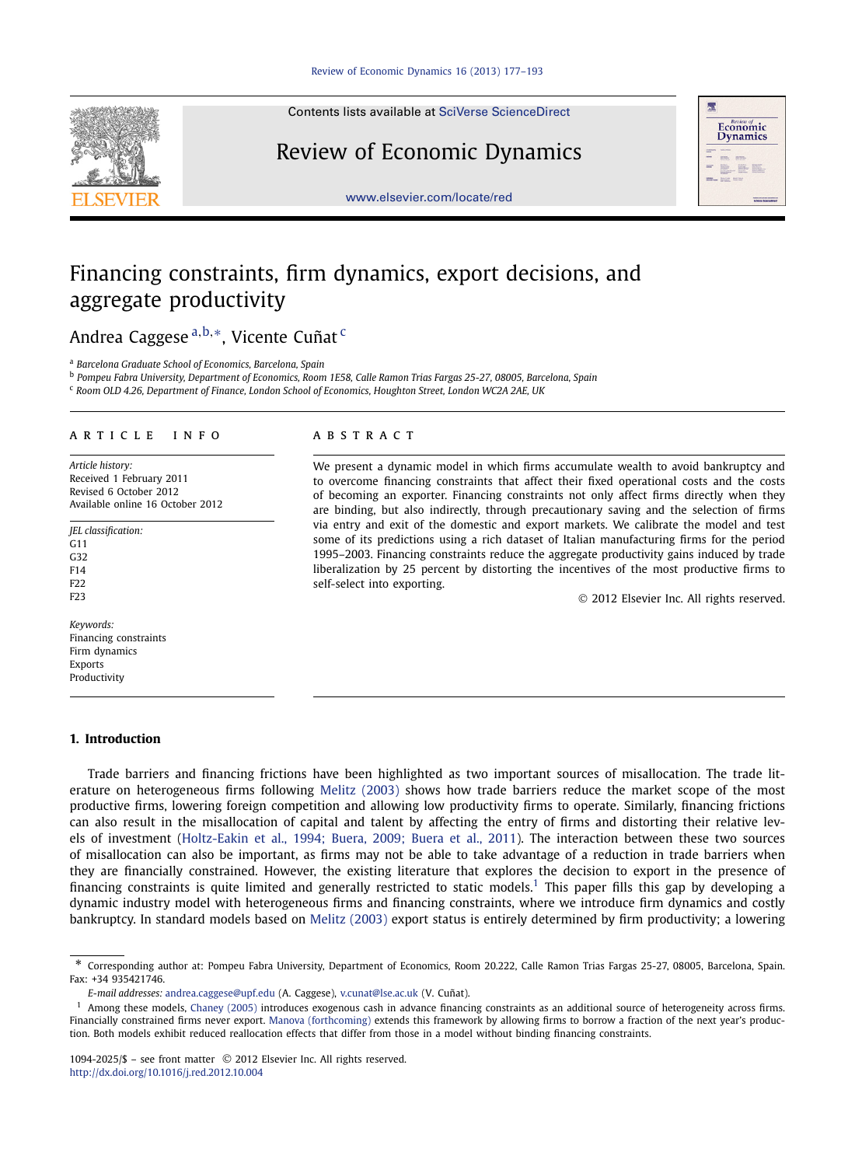

Contents lists available at [SciVerse ScienceDirect](http://www.ScienceDirect.com/)

# Review of Economic Dynamics



[www.elsevier.com/locate/red](http://www.elsevier.com/locate/red)

# Financing constraints, firm dynamics, export decisions, and aggregate productivity

# Andrea Caggese <sup>a</sup>*,*b*,*∗, Vicente Cuñat <sup>c</sup>

<sup>a</sup> *Barcelona Graduate School of Economics, Barcelona, Spain*

<sup>b</sup> *Pompeu Fabra University, Department of Economics, Room 1E58, Calle Ramon Trias Fargas 25-27, 08005, Barcelona, Spain*

<sup>c</sup> *Room OLD 4.26, Department of Finance, London School of Economics, Houghton Street, London WC2A 2AE, UK*

# article info abstract

*Article history:* Received 1 February 2011 Revised 6 October 2012 Available online 16 October 2012

*JEL classification:* G11

G32 F14 F<sub>22</sub> F23

*Keywords:* Financing constraints Firm dynamics Exports Productivity

# **1. Introduction**

We present a dynamic model in which firms accumulate wealth to avoid bankruptcy and to overcome financing constraints that affect their fixed operational costs and the costs of becoming an exporter. Financing constraints not only affect firms directly when they are binding, but also indirectly, through precautionary saving and the selection of firms via entry and exit of the domestic and export markets. We calibrate the model and test some of its predictions using a rich dataset of Italian manufacturing firms for the period 1995–2003. Financing constraints reduce the aggregate productivity gains induced by trade liberalization by 25 percent by distorting the incentives of the most productive firms to self-select into exporting.

© 2012 Elsevier Inc. All rights reserved.

Trade barriers and financing frictions have been highlighted as two important sources of misallocation. The trade literature on heterogeneous firms following [Melitz \(2003\)](#page-16-0) shows how trade barriers reduce the market scope of the most productive firms, lowering foreign competition and allowing low productivity firms to operate. Similarly, financing frictions can also result in the misallocation of capital and talent by affecting the entry of firms and distorting their relative levels of investment [\(Holtz-Eakin et al., 1994; Buera, 2009; Buera et al., 2011\)](#page-16-0). The interaction between these two sources of misallocation can also be important, as firms may not be able to take advantage of a reduction in trade barriers when they are financially constrained. However, the existing literature that explores the decision to export in the presence of financing constraints is quite limited and generally restricted to static models.<sup>1</sup> This paper fills this gap by developing a dynamic industry model with heterogeneous firms and financing constraints, where we introduce firm dynamics and costly bankruptcy. In standard models based on [Melitz \(2003\)](#page-16-0) export status is entirely determined by firm productivity; a lowering

*E-mail addresses:* [andrea.caggese@upf.edu](mailto:andrea.caggese@upf.edu) (A. Caggese), [v.cunat@lse.ac.uk](mailto:v.cunat@lse.ac.uk) (V. Cuñat).

<sup>\*</sup> Corresponding author at: Pompeu Fabra University, Department of Economics, Room 20.222, Calle Ramon Trias Fargas 25-27, 08005, Barcelona, Spain. Fax: +34 935421746.

 $<sup>1</sup>$  Among these models, [Chaney \(2005\)](#page-16-0) introduces exogenous cash in advance financing constraints as an additional source of heterogeneity across firms.</sup> Financially constrained firms never export. [Manova \(forthcoming\)](#page-16-0) extends this framework by allowing firms to borrow a fraction of the next year's production. Both models exhibit reduced reallocation effects that differ from those in a model without binding financing constraints.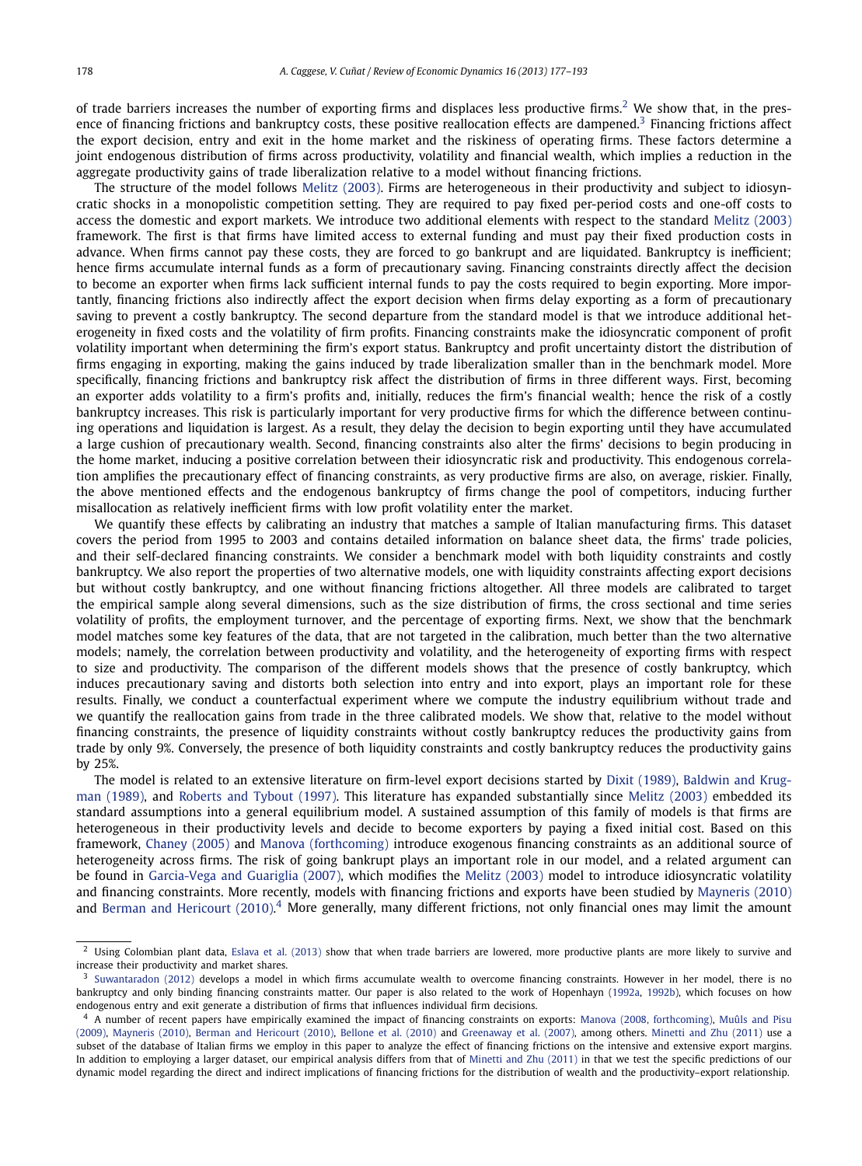of trade barriers increases the number of exporting firms and displaces less productive firms.<sup>2</sup> We show that, in the presence of financing frictions and bankruptcy costs, these positive reallocation effects are dampened.<sup>3</sup> Financing frictions affect the export decision, entry and exit in the home market and the riskiness of operating firms. These factors determine a joint endogenous distribution of firms across productivity, volatility and financial wealth, which implies a reduction in the aggregate productivity gains of trade liberalization relative to a model without financing frictions.

The structure of the model follows [Melitz \(2003\).](#page-16-0) Firms are heterogeneous in their productivity and subject to idiosyncratic shocks in a monopolistic competition setting. They are required to pay fixed per-period costs and one-off costs to access the domestic and export markets. We introduce two additional elements with respect to the standard [Melitz \(2003\)](#page-16-0) framework. The first is that firms have limited access to external funding and must pay their fixed production costs in advance. When firms cannot pay these costs, they are forced to go bankrupt and are liquidated. Bankruptcy is inefficient; hence firms accumulate internal funds as a form of precautionary saving. Financing constraints directly affect the decision to become an exporter when firms lack sufficient internal funds to pay the costs required to begin exporting. More importantly, financing frictions also indirectly affect the export decision when firms delay exporting as a form of precautionary saving to prevent a costly bankruptcy. The second departure from the standard model is that we introduce additional heterogeneity in fixed costs and the volatility of firm profits. Financing constraints make the idiosyncratic component of profit volatility important when determining the firm's export status. Bankruptcy and profit uncertainty distort the distribution of firms engaging in exporting, making the gains induced by trade liberalization smaller than in the benchmark model. More specifically, financing frictions and bankruptcy risk affect the distribution of firms in three different ways. First, becoming an exporter adds volatility to a firm's profits and, initially, reduces the firm's financial wealth; hence the risk of a costly bankruptcy increases. This risk is particularly important for very productive firms for which the difference between continuing operations and liquidation is largest. As a result, they delay the decision to begin exporting until they have accumulated a large cushion of precautionary wealth. Second, financing constraints also alter the firms' decisions to begin producing in the home market, inducing a positive correlation between their idiosyncratic risk and productivity. This endogenous correlation amplifies the precautionary effect of financing constraints, as very productive firms are also, on average, riskier. Finally, the above mentioned effects and the endogenous bankruptcy of firms change the pool of competitors, inducing further misallocation as relatively inefficient firms with low profit volatility enter the market.

We quantify these effects by calibrating an industry that matches a sample of Italian manufacturing firms. This dataset covers the period from 1995 to 2003 and contains detailed information on balance sheet data, the firms' trade policies, and their self-declared financing constraints. We consider a benchmark model with both liquidity constraints and costly bankruptcy. We also report the properties of two alternative models, one with liquidity constraints affecting export decisions but without costly bankruptcy, and one without financing frictions altogether. All three models are calibrated to target the empirical sample along several dimensions, such as the size distribution of firms, the cross sectional and time series volatility of profits, the employment turnover, and the percentage of exporting firms. Next, we show that the benchmark model matches some key features of the data, that are not targeted in the calibration, much better than the two alternative models; namely, the correlation between productivity and volatility, and the heterogeneity of exporting firms with respect to size and productivity. The comparison of the different models shows that the presence of costly bankruptcy, which induces precautionary saving and distorts both selection into entry and into export, plays an important role for these results. Finally, we conduct a counterfactual experiment where we compute the industry equilibrium without trade and we quantify the reallocation gains from trade in the three calibrated models. We show that, relative to the model without financing constraints, the presence of liquidity constraints without costly bankruptcy reduces the productivity gains from trade by only 9%. Conversely, the presence of both liquidity constraints and costly bankruptcy reduces the productivity gains by 25%.

The model is related to an extensive literature on firm-level export decisions started by [Dixit \(1989\),](#page-16-0) [Baldwin and Krug](#page-15-0)[man \(1989\),](#page-15-0) and [Roberts and Tybout \(1997\).](#page-16-0) This literature has expanded substantially since [Melitz \(2003\)](#page-16-0) embedded its standard assumptions into a general equilibrium model. A sustained assumption of this family of models is that firms are heterogeneous in their productivity levels and decide to become exporters by paying a fixed initial cost. Based on this framework, [Chaney \(2005\)](#page-16-0) and [Manova \(forthcoming\)](#page-16-0) introduce exogenous financing constraints as an additional source of heterogeneity across firms. The risk of going bankrupt plays an important role in our model, and a related argument can be found in [Garcia-Vega and Guariglia \(2007\),](#page-16-0) which modifies the [Melitz \(2003\)](#page-16-0) model to introduce idiosyncratic volatility and financing constraints. More recently, models with financing frictions and exports have been studied by [Mayneris \(2010\)](#page-16-0) and [Berman and Hericourt \(2010\).](#page-15-0)<sup>4</sup> More generally, many different frictions, not only financial ones may limit the amount

 $<sup>2</sup>$  Using Colombian plant data, [Eslava et al. \(2013\)](#page-16-0) show that when trade barriers are lowered, more productive plants are more likely to survive and</sup> increase their productivity and market shares.

<sup>3</sup> [Suwantaradon \(2012\)](#page-16-0) develops a model in which firms accumulate wealth to overcome financing constraints. However in her model, there is no bankruptcy and only binding financing constraints matter. Our paper is also related to the work of Hopenhayn [\(1992a,](#page-16-0) [1992b\)](#page-16-0), which focuses on how endogenous entry and exit generate a distribution of firms that influences individual firm decisions.

<sup>4</sup> A number of recent papers have empirically examined the impact of financing constraints on exports: [Manova \(2008, forthcoming\),](#page-16-0) [Muûls and Pisu](#page-16-0) [\(2009\),](#page-16-0) [Mayneris \(2010\),](#page-16-0) [Berman and Hericourt \(2010\),](#page-15-0) [Bellone et al. \(2010\)](#page-15-0) and [Greenaway et al. \(2007\),](#page-16-0) among others. [Minetti and Zhu \(2011\)](#page-16-0) use a subset of the database of Italian firms we employ in this paper to analyze the effect of financing frictions on the intensive and extensive export margins. In addition to employing a larger dataset, our empirical analysis differs from that of [Minetti and Zhu \(2011\)](#page-16-0) in that we test the specific predictions of our dynamic model regarding the direct and indirect implications of financing frictions for the distribution of wealth and the productivity–export relationship.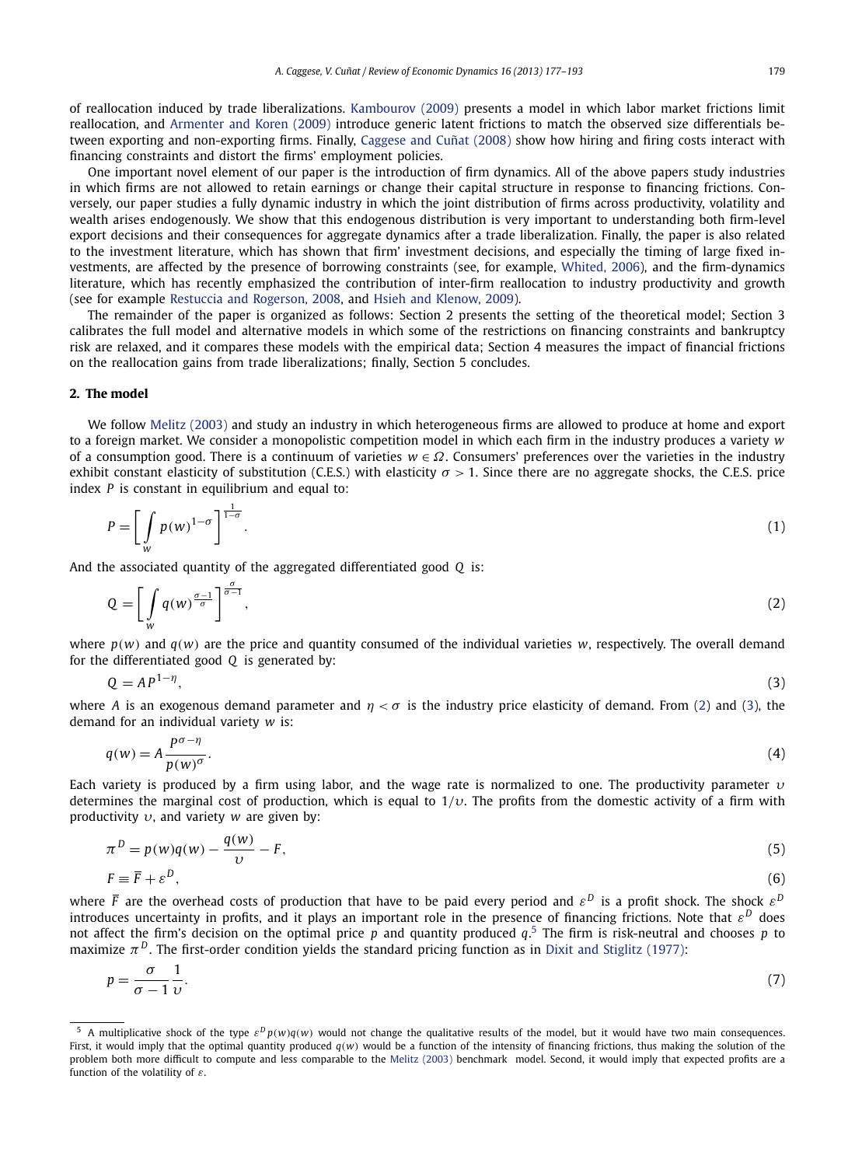<span id="page-2-0"></span>of reallocation induced by trade liberalizations. [Kambourov \(2009\)](#page-16-0) presents a model in which labor market frictions limit reallocation, and [Armenter and Koren \(2009\)](#page-15-0) introduce generic latent frictions to match the observed size differentials between exporting and non-exporting firms. Finally, [Caggese and Cuñat \(2008\)](#page-16-0) show how hiring and firing costs interact with financing constraints and distort the firms' employment policies.

One important novel element of our paper is the introduction of firm dynamics. All of the above papers study industries in which firms are not allowed to retain earnings or change their capital structure in response to financing frictions. Conversely, our paper studies a fully dynamic industry in which the joint distribution of firms across productivity, volatility and wealth arises endogenously. We show that this endogenous distribution is very important to understanding both firm-level export decisions and their consequences for aggregate dynamics after a trade liberalization. Finally, the paper is also related to the investment literature, which has shown that firm' investment decisions, and especially the timing of large fixed investments, are affected by the presence of borrowing constraints (see, for example, [Whited, 2006\)](#page-16-0), and the firm-dynamics literature, which has recently emphasized the contribution of inter-firm reallocation to industry productivity and growth (see for example [Restuccia and Rogerson, 2008,](#page-16-0) and [Hsieh and Klenow, 2009\)](#page-16-0).

The remainder of the paper is organized as follows: Section 2 presents the setting of the theoretical model; Section 3 calibrates the full model and alternative models in which some of the restrictions on financing constraints and bankruptcy risk are relaxed, and it compares these models with the empirical data; Section 4 measures the impact of financial frictions on the reallocation gains from trade liberalizations; finally, Section 5 concludes.

# **2. The model**

We follow [Melitz \(2003\)](#page-16-0) and study an industry in which heterogeneous firms are allowed to produce at home and export to a foreign market. We consider a monopolistic competition model in which each firm in the industry produces a variety *w* of a consumption good. There is a continuum of varieties *w* ∈ *Ω*. Consumers' preferences over the varieties in the industry exhibit constant elasticity of substitution (C.E.S.) with elasticity  $\sigma > 1$ . Since there are no aggregate shocks, the C.E.S. price index *P* is constant in equilibrium and equal to:

$$
P = \left[ \int_{W} p(w)^{1-\sigma} \right]^{\frac{1}{1-\sigma}}.
$$
 (1)

And the associated quantity of the aggregated differentiated good *Q* is:

$$
Q = \left[ \int_{W} q(w)^{\frac{\sigma - 1}{\sigma}} \right]^{\frac{\sigma}{\sigma - 1}},\tag{2}
$$

where  $p(w)$  and  $q(w)$  are the price and quantity consumed of the individual varieties w, respectively. The overall demand for the differentiated good *Q* is generated by:

$$
Q = AP^{1-\eta},\tag{3}
$$

where *A* is an exogenous demand parameter and  $\eta < \sigma$  is the industry price elasticity of demand. From (2) and (3), the demand for an individual variety *w* is:

$$
q(w) = A \frac{P^{\sigma - \eta}}{p(w)^{\sigma}}.
$$
\n<sup>(4)</sup>

Each variety is produced by a firm using labor, and the wage rate is normalized to one. The productivity parameter *υ* determines the marginal cost of production, which is equal to 1*/υ*. The profits from the domestic activity of a firm with productivity *υ*, and variety *w* are given by:

$$
\pi^D = p(w)q(w) - \frac{q(w)}{\nu} - F,\tag{5}
$$

$$
F \equiv \overline{F} + \varepsilon^{D},
$$
\n(6)

\nwhere  $\overline{F}$  are the overhead costs of production that have to be paid every period and  $\varepsilon^{D}$  is a profit shock. The shock  $\varepsilon^{D}$ 

introduces uncertainty in profits, and it plays an important role in the presence of financing frictions. Note that *ε<sup>D</sup>* does not affect the firm's decision on the optimal price *p* and quantity produced *q*. <sup>5</sup> The firm is risk-neutral and chooses *p* to maximize  $\pi^D$ . The first-order condition yields the standard pricing function as in [Dixit and Stiglitz \(1977\):](#page-16-0)

$$
p = \frac{\sigma}{\sigma - 1} \frac{1}{\nu}.\tag{7}
$$

<sup>&</sup>lt;sup>5</sup> A multiplicative shock of the type  $\varepsilon^D p(w)q(w)$  would not change the qualitative results of the model, but it would have two main consequences. First, it would imply that the optimal quantity produced  $q(w)$  would be a function of the intensity of financing frictions, thus making the solution of the problem both more difficult to compute and less comparable to the [Melitz \(2003\)](#page-16-0) benchmark model. Second, it would imply that expected profits are a function of the volatility of *ε*.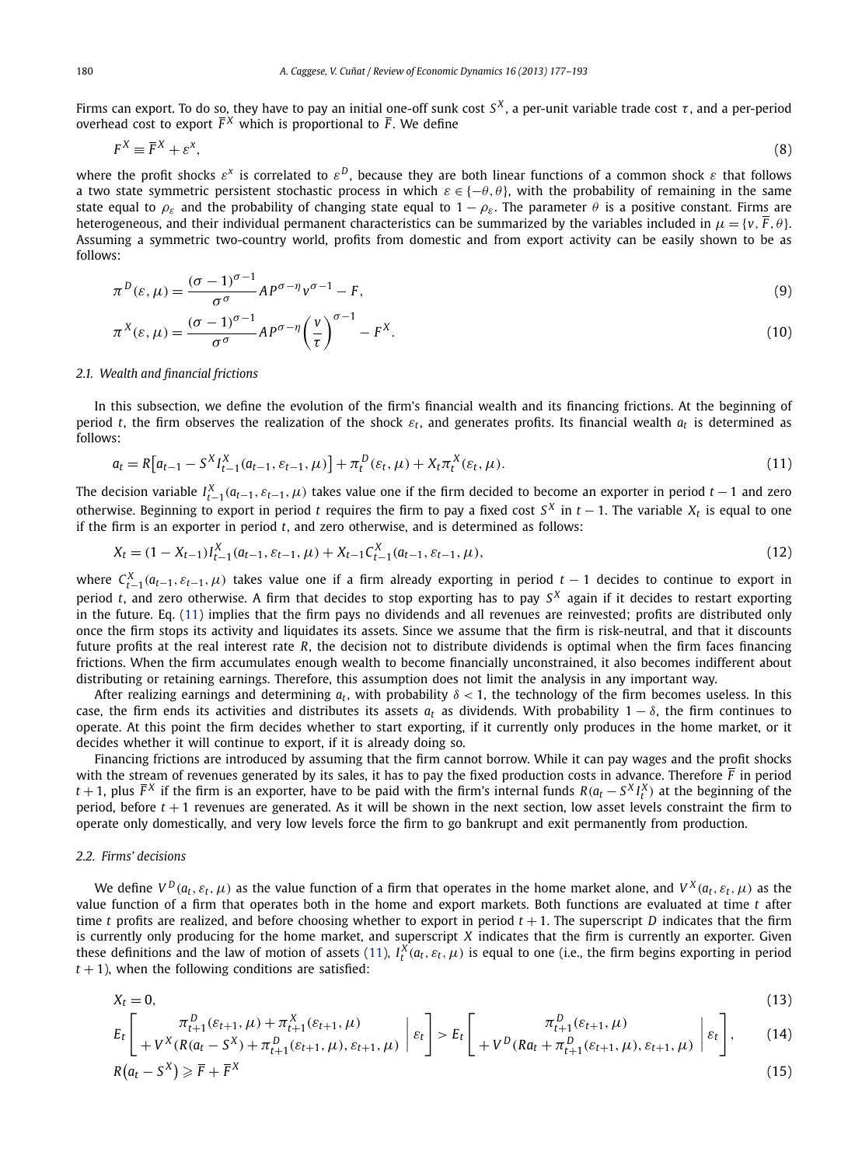<span id="page-3-0"></span>Firms can export. To do so, they have to pay an initial one-off sunk cost  $S^X$ , a per-unit variable trade cost  $\tau$ , and a per-period overhead cost to export  $\overline{F}^X$  which is proportional to  $\overline{F}$ . We define

$$
F^X \equiv \overline{F}^X + \varepsilon^X,\tag{8}
$$

where the profit shocks  $\varepsilon^x$  is correlated to  $\varepsilon^D$ , because they are both linear functions of a common shock  $\varepsilon$  that follows a two state symmetric persistent stochastic process in which  $\varepsilon \in \{-\theta, \theta\}$ , with the probability of remaining in the same state equal to  $\rho_{\varepsilon}$  and the probability of changing state equal to  $1 - \rho_{\varepsilon}$ . The parameter  $\theta$  is a positive constant. Firms are heterogeneous, and their individual permanent characteristics can be summarized by the variables included in  $\mu = \{v, \overline{F}, \theta\}$ . Assuming a symmetric two-country world, profits from domestic and from export activity can be easily shown to be as follows:

$$
\pi^{D}(\varepsilon,\mu) = \frac{(\sigma - 1)^{\sigma - 1}}{\sigma^{\sigma}} A P^{\sigma - \eta} \nu^{\sigma - 1} - F,
$$
\n(9)

$$
\pi^X(\varepsilon,\mu) = \frac{(\sigma - 1)^{\sigma - 1}}{\sigma^{\sigma}} A P^{\sigma - \eta} \left(\frac{v}{\tau}\right)^{\sigma - 1} - F^X.
$$
\n(10)

### *2.1. Wealth and financial frictions*

In this subsection, we define the evolution of the firm's financial wealth and its financing frictions. At the beginning of period *t*, the firm observes the realization of the shock *εt*, and generates profits. Its financial wealth *at* is determined as follows:

$$
a_t = R[a_{t-1} - S^X I_{t-1}^X(a_{t-1}, \varepsilon_{t-1}, \mu)] + \pi_t^D(\varepsilon_t, \mu) + X_t \pi_t^X(\varepsilon_t, \mu).
$$
\n(11)

The decision variable  $I_{t-1}^X(a_{t-1},\varepsilon_{t-1},\mu)$  takes value one if the firm decided to become an exporter in period  $t-1$  and zero otherwise. Beginning to export in period *t* requires the firm to pay a fixed cost  $S^X$  in  $t-1$ . The variable  $X_t$  is equal to one if the firm is an exporter in period *t*, and zero otherwise, and is determined as follows:

$$
X_t = (1 - X_{t-1})I_{t-1}^X(a_{t-1}, \varepsilon_{t-1}, \mu) + X_{t-1}C_{t-1}^X(a_{t-1}, \varepsilon_{t-1}, \mu),
$$
\n(12)

where  $C_{t-1}^X(a_{t-1}, \varepsilon_{t-1}, \mu)$  takes value one if a firm already exporting in period  $t-1$  decides to continue to export in period *t*, and zero otherwise. A firm that decides to stop exporting has to pay *S <sup>X</sup>* again if it decides to restart exporting in the future. Eq. (11) implies that the firm pays no dividends and all revenues are reinvested; profits are distributed only once the firm stops its activity and liquidates its assets. Since we assume that the firm is risk-neutral, and that it discounts future profits at the real interest rate *R*, the decision not to distribute dividends is optimal when the firm faces financing frictions. When the firm accumulates enough wealth to become financially unconstrained, it also becomes indifferent about distributing or retaining earnings. Therefore, this assumption does not limit the analysis in any important way.

After realizing earnings and determining  $a_t$ , with probability  $\delta < 1$ , the technology of the firm becomes useless. In this case, the firm ends its activities and distributes its assets  $a_t$  as dividends. With probability  $1 - \delta$ , the firm continues to operate. At this point the firm decides whether to start exporting, if it currently only produces in the home market, or it decides whether it will continue to export, if it is already doing so.

Financing frictions are introduced by assuming that the firm cannot borrow. While it can pay wages and the profit shocks with the stream of revenues generated by its sales, it has to pay the fixed production costs in advance. Therefore  $\bar{F}$  in period *t* + 1, plus  $\overline{F}^X$  if the firm is an exporter, have to be paid with the firm's internal funds  $R(a_t - S^X I_t^X)$  at the beginning of the period, before  $t + 1$  revenues are generated. As it will be shown in the next section, low asset levels constraint the firm to operate only domestically, and very low levels force the firm to go bankrupt and exit permanently from production.

#### *2.2. Firms' decisions*

We define  $V^D(a_t, \varepsilon_t, \mu)$  as the value function of a firm that operates in the home market alone, and  $V^X(a_t, \varepsilon_t, \mu)$  as the value function of a firm that operates both in the home and export markets. Both functions are evaluated at time *t* after time *t* profits are realized, and before choosing whether to export in period  $t + 1$ . The superscript *D* indicates that the firm is currently only producing for the home market, and superscript *X* indicates that the firm is currently an exporter. Given these definitions and the law of motion of assets (11),  $I_t^X(a_t, \varepsilon_t, \mu)$  is equal to one (i.e., the firm begins exporting in period  $t + 1$ ), when the following conditions are satisfied:

$$
X_t = 0,\tag{13}
$$

$$
E_{t}\left[\begin{array}{c}\pi_{t+1}^{D}(\varepsilon_{t+1},\mu)+\pi_{t+1}^{X}(\varepsilon_{t+1},\mu)\\+\nabla^{X}(R(a_{t}-S^{X})+\pi_{t+1}^{D}(\varepsilon_{t+1},\mu),\varepsilon_{t+1},\mu)\end{array}\bigg|\,\varepsilon_{t}\right] > E_{t}\left[\begin{array}{c}\pi_{t+1}^{D}(\varepsilon_{t+1},\mu)\\+\nabla^{D}(Ra_{t}+\pi_{t+1}^{D}(\varepsilon_{t+1},\mu),\varepsilon_{t+1},\mu)\end{array}\bigg|\,\varepsilon_{t}\right],\tag{14}
$$

$$
R\left(a_t - S^X\right) \geqslant \overline{F} + \overline{F}^X \tag{15}
$$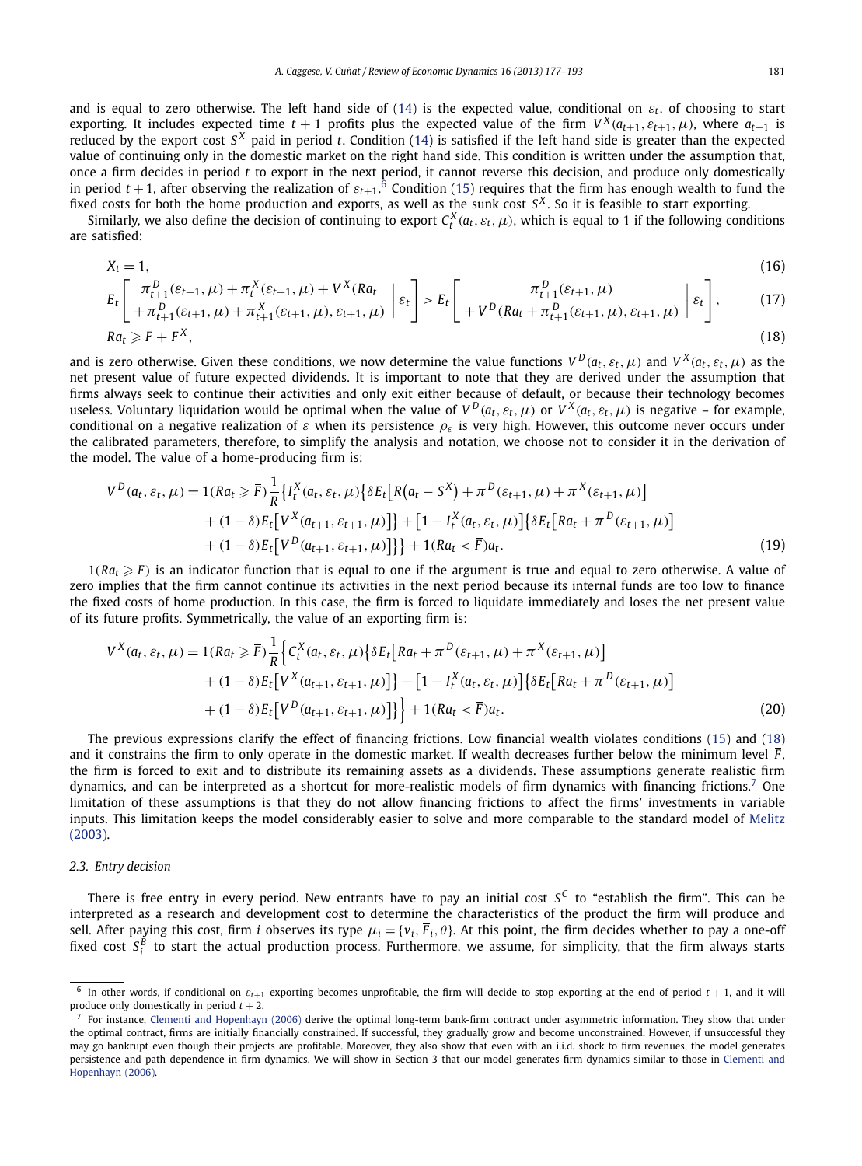<span id="page-4-0"></span>and is equal to zero otherwise. The left hand side of [\(14\)](#page-3-0) is the expected value, conditional on  $\varepsilon$ <sub>t</sub>, of choosing to start exporting. It includes expected time  $t + 1$  profits plus the expected value of the firm  $V^X(a_{t+1}, \varepsilon_{t+1}, \mu)$ , where  $a_{t+1}$  is reduced by the export cost  $S<sup>X</sup>$  paid in period *t*. Condition [\(14\)](#page-3-0) is satisfied if the left hand side is greater than the expected value of continuing only in the domestic market on the right hand side. This condition is written under the assumption that, once a firm decides in period *t* to export in the next period, it cannot reverse this decision, and produce only domestically in period  $t+1$ , after observing the realization of  $\varepsilon_{t+1}.^6$  Condition [\(15\)](#page-3-0) requires that the firm has enough wealth to fund the fixed costs for both the home production and exports, as well as the sunk cost *S<sup>X</sup>*. So it is feasible to start exporting.

Similarly, we also define the decision of continuing to export  $C_t^X(a_t, \varepsilon_t, \mu)$ , which is equal to 1 if the following conditions are satisfied:

$$
X_{t} = 1,
$$
  
\n
$$
\begin{bmatrix} \pi_{t+1}^{D}(\varepsilon_{t+1}, \mu) + \pi_{t}^{X}(\varepsilon_{t+1}, \mu) + V^{X}(Ra_{t+1}) & \pi_{t+1}^{D}(\varepsilon_{t+1}, \mu) \end{bmatrix}
$$
\n(16)

$$
E_{t}\left[\begin{array}{c} \pi_{t+1}^{D}(\varepsilon_{t+1},\mu)+\pi_{t}^{X}(\varepsilon_{t+1},\mu)+V^{X}(Ra_{t}) \\\ +\pi_{t+1}^{D}(\varepsilon_{t+1},\mu)+\pi_{t+1}^{X}(\varepsilon_{t+1},\mu),\varepsilon_{t+1},\mu)\end{array}\bigg|\varepsilon_{t}\right] > E_{t}\left[\begin{array}{c} \pi_{t+1}^{D}(\varepsilon_{t+1},\mu) \\\ +V^{D}(Ra_{t}+\pi_{t+1}^{D}(\varepsilon_{t+1},\mu),\varepsilon_{t+1},\mu)\end{array}\bigg|\varepsilon_{t}\right],\tag{17}
$$

$$
Ra_t \geqslant \overline{F} + \overline{F}^X,\tag{18}
$$

and is zero otherwise. Given these conditions, we now determine the value functions  $V^D(a_t, \varepsilon_t, \mu)$  and  $V^X(a_t, \varepsilon_t, \mu)$  as the net present value of future expected dividends. It is important to note that they are derived under the assumption that firms always seek to continue their activities and only exit either because of default, or because their technology becomes useless. Voluntary liquidation would be optimal when the value of  $V^D(a_t, \varepsilon_t, \mu)$  or  $V^X(a_t, \varepsilon_t, \mu)$  is negative – for example, conditional on a negative realization of  $\varepsilon$  when its persistence  $\rho_{\varepsilon}$  is very high. However, this outcome never occurs under the calibrated parameters, therefore, to simplify the analysis and notation, we choose not to consider it in the derivation of the model. The value of a home-producing firm is:

$$
V^{D}(a_{t}, \varepsilon_{t}, \mu) = 1(Ra_{t} \geq \overline{F}) \frac{1}{R} \left\{ I_{t}^{X}(a_{t}, \varepsilon_{t}, \mu) \left\{ \delta E_{t} \left[ R(a_{t} - S^{X}) + \pi^{D}(\varepsilon_{t+1}, \mu) + \pi^{X}(\varepsilon_{t+1}, \mu) \right] \right. \right. \\ \left. + (1 - \delta) E_{t} \left[ V^{X}(a_{t+1}, \varepsilon_{t+1}, \mu) \right] \right\} + \left[ 1 - I_{t}^{X}(a_{t}, \varepsilon_{t}, \mu) \left[ \delta E_{t} \left[ Ra_{t} + \pi^{D}(\varepsilon_{t+1}, \mu) \right] \right. \right. \\ \left. + (1 - \delta) E_{t} \left[ V^{D}(a_{t+1}, \varepsilon_{t+1}, \mu) \right] \right\} + 1(Ra_{t} < \overline{F}) a_{t} . \tag{19}
$$

 $1(Ra_t \geq F)$  is an indicator function that is equal to one if the argument is true and equal to zero otherwise. A value of zero implies that the firm cannot continue its activities in the next period because its internal funds are too low to finance the fixed costs of home production. In this case, the firm is forced to liquidate immediately and loses the net present value of its future profits. Symmetrically, the value of an exporting firm is:

$$
V^{X}(a_{t}, \varepsilon_{t}, \mu) = 1(Ra_{t} \geqslant \overline{F}) \frac{1}{R} \Big\{ C_{t}^{X}(a_{t}, \varepsilon_{t}, \mu) \big\{ \delta E_{t} \big[ Ra_{t} + \pi^{D}(\varepsilon_{t+1}, \mu) + \pi^{X}(\varepsilon_{t+1}, \mu) \big] + (1 - \delta) E_{t} \big[ V^{X}(a_{t+1}, \varepsilon_{t+1}, \mu) \big] \big\} + \big[ 1 - I_{t}^{X}(a_{t}, \varepsilon_{t}, \mu) \big] \big\{ \delta E_{t} \big[ Ra_{t} + \pi^{D}(\varepsilon_{t+1}, \mu) \big] + (1 - \delta) E_{t} \big[ V^{D}(a_{t+1}, \varepsilon_{t+1}, \mu) \big] \big\} + 1(Ra_{t} < \overline{F}) a_{t} . \tag{20}
$$

The previous expressions clarify the effect of financing frictions. Low financial wealth violates conditions [\(15\)](#page-3-0) and (18) and it constrains the firm to only operate in the domestic market. If wealth decreases further below the minimum level  $\bar{F}$ , the firm is forced to exit and to distribute its remaining assets as a dividends. These assumptions generate realistic firm dynamics, and can be interpreted as a shortcut for more-realistic models of firm dynamics with financing frictions.<sup>7</sup> One limitation of these assumptions is that they do not allow financing frictions to affect the firms' investments in variable inputs. This limitation keeps the model considerably easier to solve and more comparable to the standard model of [Melitz](#page-16-0) [\(2003\).](#page-16-0)

#### *2.3. Entry decision*

There is free entry in every period. New entrants have to pay an initial cost  $S^C$  to "establish the firm". This can be interpreted as a research and development cost to determine the characteristics of the product the firm will produce and sell. After paying this cost, firm *i* observes its type  $\mu_i = \{v_i, \overline{F}_i, \theta\}$ . At this point, the firm decides whether to pay a one-off fixed cost  $S^B_i$  to start the actual production process. Furthermore, we assume, for simplicity, that the firm always starts

<sup>6</sup> In other words, if conditional on *εt*+<sup>1</sup> exporting becomes unprofitable, the firm will decide to stop exporting at the end of period *t* + 1, and it will produce only domestically in period  $t + 2$ .

 $<sup>7</sup>$  For instance, [Clementi and Hopenhayn \(2006\)](#page-16-0) derive the optimal long-term bank-firm contract under asymmetric information. They show that under</sup> the optimal contract, firms are initially financially constrained. If successful, they gradually grow and become unconstrained. However, if unsuccessful they may go bankrupt even though their projects are profitable. Moreover, they also show that even with an i.i.d. shock to firm revenues, the model generates persistence and path dependence in firm dynamics. We will show in Section 3 that our model generates firm dynamics similar to those in [Clementi and](#page-16-0) [Hopenhayn \(2006\).](#page-16-0)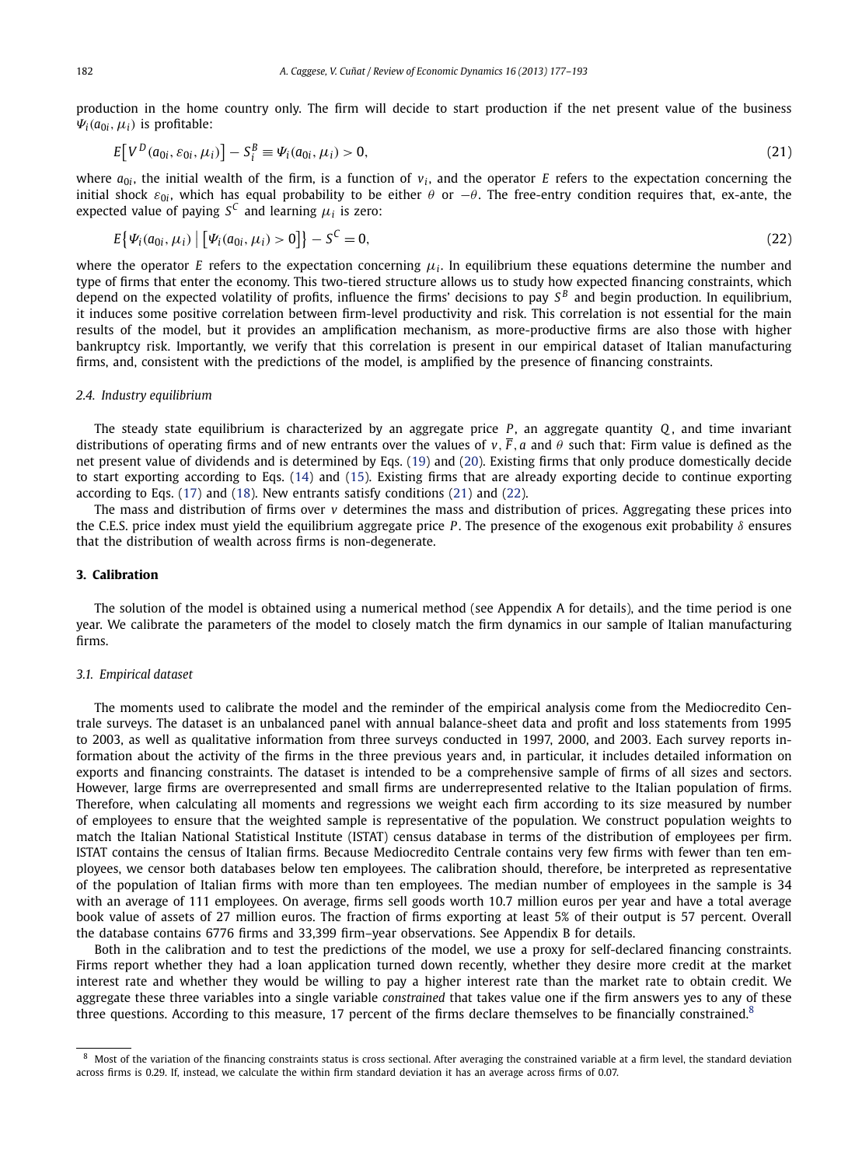<span id="page-5-0"></span>production in the home country only. The firm will decide to start production if the net present value of the business  $\Psi_i(a_{0i}, \mu_i)$  is profitable:

$$
E[V^{D}(a_{0i}, \varepsilon_{0i}, \mu_{i})] - S_{i}^{B} \equiv \Psi_{i}(a_{0i}, \mu_{i}) > 0,
$$
\n(21)

where  $a_{0i}$ , the initial wealth of the firm, is a function of  $v_i$ , and the operator *E* refers to the expectation concerning the initial shock  $\varepsilon_{0i}$ , which has equal probability to be either  $\theta$  or  $-\theta$ . The free-entry condition requires that, ex-ante, the expected value of paying  $S^C$  and learning  $\mu_i$  is zero:

$$
E\big\{\Psi_i(a_{0i},\mu_i) \bigm| \big[\Psi_i(a_{0i},\mu_i) > 0\big]\big\} - S^C = 0,\tag{22}
$$

where the operator *E* refers to the expectation concerning  $\mu_i$ . In equilibrium these equations determine the number and type of firms that enter the economy. This two-tiered structure allows us to study how expected financing constraints, which depend on the expected volatility of profits, influence the firms' decisions to pay  $S^B$  and begin production. In equilibrium, it induces some positive correlation between firm-level productivity and risk. This correlation is not essential for the main results of the model, but it provides an amplification mechanism, as more-productive firms are also those with higher bankruptcy risk. Importantly, we verify that this correlation is present in our empirical dataset of Italian manufacturing firms, and, consistent with the predictions of the model, is amplified by the presence of financing constraints.

#### *2.4. Industry equilibrium*

The steady state equilibrium is characterized by an aggregate price *P* , an aggregate quantity *Q* , and time invariant distributions of operating firms and of new entrants over the values of  $v, \overline{F}$ , a and  $\theta$  such that: Firm value is defined as the net present value of dividends and is determined by Eqs. [\(19\)](#page-4-0) and [\(20\)](#page-4-0). Existing firms that only produce domestically decide to start exporting according to Eqs. [\(14\)](#page-3-0) and [\(15\)](#page-3-0). Existing firms that are already exporting decide to continue exporting according to Eqs. [\(17\)](#page-4-0) and [\(18\)](#page-4-0). New entrants satisfy conditions (21) and (22).

The mass and distribution of firms over *v* determines the mass and distribution of prices. Aggregating these prices into the C.E.S. price index must yield the equilibrium aggregate price *P* . The presence of the exogenous exit probability *δ* ensures that the distribution of wealth across firms is non-degenerate.

# **3. Calibration**

The solution of the model is obtained using a numerical method (see Appendix A for details), and the time period is one year. We calibrate the parameters of the model to closely match the firm dynamics in our sample of Italian manufacturing firms.

# *3.1. Empirical dataset*

The moments used to calibrate the model and the reminder of the empirical analysis come from the Mediocredito Centrale surveys. The dataset is an unbalanced panel with annual balance-sheet data and profit and loss statements from 1995 to 2003, as well as qualitative information from three surveys conducted in 1997, 2000, and 2003. Each survey reports information about the activity of the firms in the three previous years and, in particular, it includes detailed information on exports and financing constraints. The dataset is intended to be a comprehensive sample of firms of all sizes and sectors. However, large firms are overrepresented and small firms are underrepresented relative to the Italian population of firms. Therefore, when calculating all moments and regressions we weight each firm according to its size measured by number of employees to ensure that the weighted sample is representative of the population. We construct population weights to match the Italian National Statistical Institute (ISTAT) census database in terms of the distribution of employees per firm. ISTAT contains the census of Italian firms. Because Mediocredito Centrale contains very few firms with fewer than ten employees, we censor both databases below ten employees. The calibration should, therefore, be interpreted as representative of the population of Italian firms with more than ten employees. The median number of employees in the sample is 34 with an average of 111 employees. On average, firms sell goods worth 10.7 million euros per year and have a total average book value of assets of 27 million euros. The fraction of firms exporting at least 5% of their output is 57 percent. Overall the database contains 6776 firms and 33,399 firm–year observations. See Appendix B for details.

Both in the calibration and to test the predictions of the model, we use a proxy for self-declared financing constraints. Firms report whether they had a loan application turned down recently, whether they desire more credit at the market interest rate and whether they would be willing to pay a higher interest rate than the market rate to obtain credit. We aggregate these three variables into a single variable *constrained* that takes value one if the firm answers yes to any of these three questions. According to this measure, 17 percent of the firms declare themselves to be financially constrained.<sup>8</sup>

Most of the variation of the financing constraints status is cross sectional. After averaging the constrained variable at a firm level, the standard deviation across firms is 0.29. If, instead, we calculate the within firm standard deviation it has an average across firms of 0.07.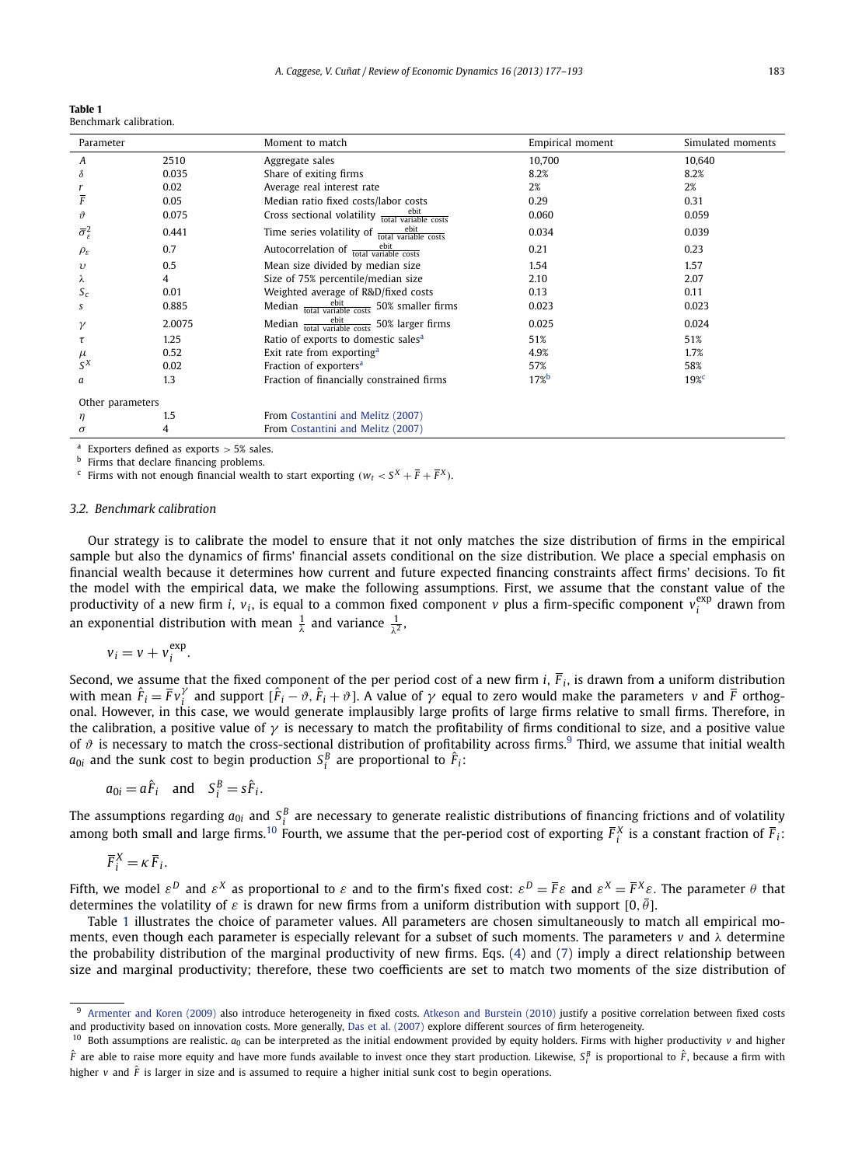<span id="page-6-0"></span>

| Table 1                |  |
|------------------------|--|
| Benchmark calibration. |  |

| Parameter                           |        | Moment to match                                                                                          | <b>Empirical moment</b> | Simulated moments |
|-------------------------------------|--------|----------------------------------------------------------------------------------------------------------|-------------------------|-------------------|
| A                                   | 2510   | Aggregate sales                                                                                          | 10,700                  | 10,640            |
| δ                                   | 0.035  | Share of exiting firms                                                                                   | 8.2%                    | 8.2%              |
|                                     | 0.02   | Average real interest rate                                                                               | 2%                      | 2%                |
| $\bar{F}$                           | 0.05   | Median ratio fixed costs/labor costs                                                                     | 0.29                    | 0.31              |
| θ                                   | 0.075  | Cross sectional volatility $\frac{\text{ebit}}{\text{total variable costs}}$                             | 0.060                   | 0.059             |
| $\overline{\sigma}_{\varepsilon}^2$ | 0.441  | Time series volatility of $\frac{\text{ebit}}{\text{total variable costs}}$                              | 0.034                   | 0.039             |
| $\rho_{\varepsilon}$                | 0.7    | Autocorrelation of <b>the select of the select of the Autocorrelation</b> of <b>total</b> variable costs | 0.21                    | 0.23              |
| υ                                   | 0.5    | Mean size divided by median size                                                                         | 1.54                    | 1.57              |
| λ                                   | 4      | Size of 75% percentile/median size                                                                       | 2.10                    | 2.07              |
| $S_c$                               | 0.01   | Weighted average of R&D/fixed costs                                                                      | 0.13                    | 0.11              |
| S                                   | 0.885  | Median $\frac{\text{ebit}}{\text{total variable costs}}$ 50% smaller firms                               | 0.023                   | 0.023             |
| $\gamma$                            | 2.0075 | Median $\frac{\text{ebit}}{\text{total variable costs}}$ 50% larger firms                                | 0.025                   | 0.024             |
| τ                                   | 1.25   | Ratio of exports to domestic sales <sup>a</sup>                                                          | 51%                     | 51%               |
| $\mu$                               | 0.52   | Exit rate from exporting <sup>a</sup>                                                                    | 4.9%                    | 1.7%              |
| $S^X$                               | 0.02   | Fraction of exporters <sup>a</sup>                                                                       | 57%                     | 58%               |
| а                                   | 1.3    | Fraction of financially constrained firms                                                                | $17\%$                  | 19%               |
| Other parameters                    |        |                                                                                                          |                         |                   |
| η                                   | 1.5    | From Costantini and Melitz (2007)                                                                        |                         |                   |
| $\sigma$                            | 4      | From Costantini and Melitz (2007)                                                                        |                         |                   |

<sup>a</sup> Exporters defined as exports  $> 5\%$  sales.

Firms that declare financing problems.

<sup>c</sup> Firms with not enough financial wealth to start exporting  $(w_t < S^X + \overline{F} + \overline{F}^X)$ .

#### *3.2. Benchmark calibration*

Our strategy is to calibrate the model to ensure that it not only matches the size distribution of firms in the empirical sample but also the dynamics of firms' financial assets conditional on the size distribution. We place a special emphasis on financial wealth because it determines how current and future expected financing constraints affect firms' decisions. To fit the model with the empirical data, we make the following assumptions. First, we assume that the constant value of the productivity of a new firm *i*,  $v_i$ , is equal to a common fixed component  $v$  plus a firm-specific component  $v_i^{\exp}$  drawn from an exponential distribution with mean  $\frac{1}{\lambda}$  and variance  $\frac{1}{\lambda^2}$ ,

$$
v_i = v + v_i^{\exp}.
$$

Second, we assume that the fixed component of the per period cost of a new firm *i*,  $\overline{F}_i$ , is drawn from a uniform distribution with mean  $\hat{F}_i = \overline{F} v_i^{\gamma}$  and support  $[\hat{F}_i - \vartheta, \hat{F}_i + \vartheta]$ . A value of  $\gamma$  equal to zero would make the parameters  $v$  and  $\overline{F}$  orthogonal. However, in this case, we would generate implausibly large profits of large firms relative to small firms. Therefore, in the calibration, a positive value of *γ* is necessary to match the profitability of firms conditional to size, and a positive value of  $\vartheta$  is necessary to match the cross-sectional distribution of profitability across firms.<sup>9</sup> Third, we assume that initial wealth  $a_{0i}$  and the sunk cost to begin production  $S_i^B$  are proportional to  $\hat{F}_i$ :

$$
a_{0i} = a\hat{F}_i
$$
 and  $S_i^B = s\hat{F}_i$ .

The assumptions regarding  $a_{0i}$  and  $S^B_i$  are necessary to generate realistic distributions of financing frictions and of volatility among both small and large firms.<sup>10</sup> Fourth, we assume that the per-period cost of exporting  $\bar F_i^X$  is a constant fraction of  $\bar F_i$ :

$$
\overline{F}_i^X = \kappa \, \overline{F}_i.
$$

Fifth, we model  $\varepsilon^D$  and  $\varepsilon^X$  as proportional to  $\varepsilon$  and to the firm's fixed cost:  $\varepsilon^D = \overline{F}\varepsilon$  and  $\varepsilon^X = \overline{F}^X \varepsilon$ . The parameter  $\theta$  that determines the volatility of  $\varepsilon$  is drawn for new firms from a uniform distribution with support  $[0, \bar{\theta}]$ .

Table 1 illustrates the choice of parameter values. All parameters are chosen simultaneously to match all empirical moments, even though each parameter is especially relevant for a subset of such moments. The parameters *v* and *λ* determine the probability distribution of the marginal productivity of new firms. Eqs. [\(4\)](#page-2-0) and [\(7\)](#page-2-0) imply a direct relationship between size and marginal productivity; therefore, these two coefficients are set to match two moments of the size distribution of

<sup>&</sup>lt;sup>9</sup> [Armenter and Koren \(2009\)](#page-15-0) also introduce heterogeneity in fixed costs. [Atkeson and Burstein \(2010\)](#page-15-0) justify a positive correlation between fixed costs and productivity based on innovation costs. More generally, [Das et al. \(2007\)](#page-16-0) explore different sources of firm heterogeneity.

<sup>&</sup>lt;sup>10</sup> Both assumptions are realistic.  $a_0$  can be interpreted as the initial endowment provided by equity holders. Firms with higher productivity *v* and higher  $\hat{F}$  are able to raise more equity and have more funds available to invest once they start production. Likewise,  $S^B_i$  is proportional to  $\hat{F}$ , because a firm with higher *v* and  $\hat{F}$  is larger in size and is assumed to require a higher initial sunk cost to begin operations.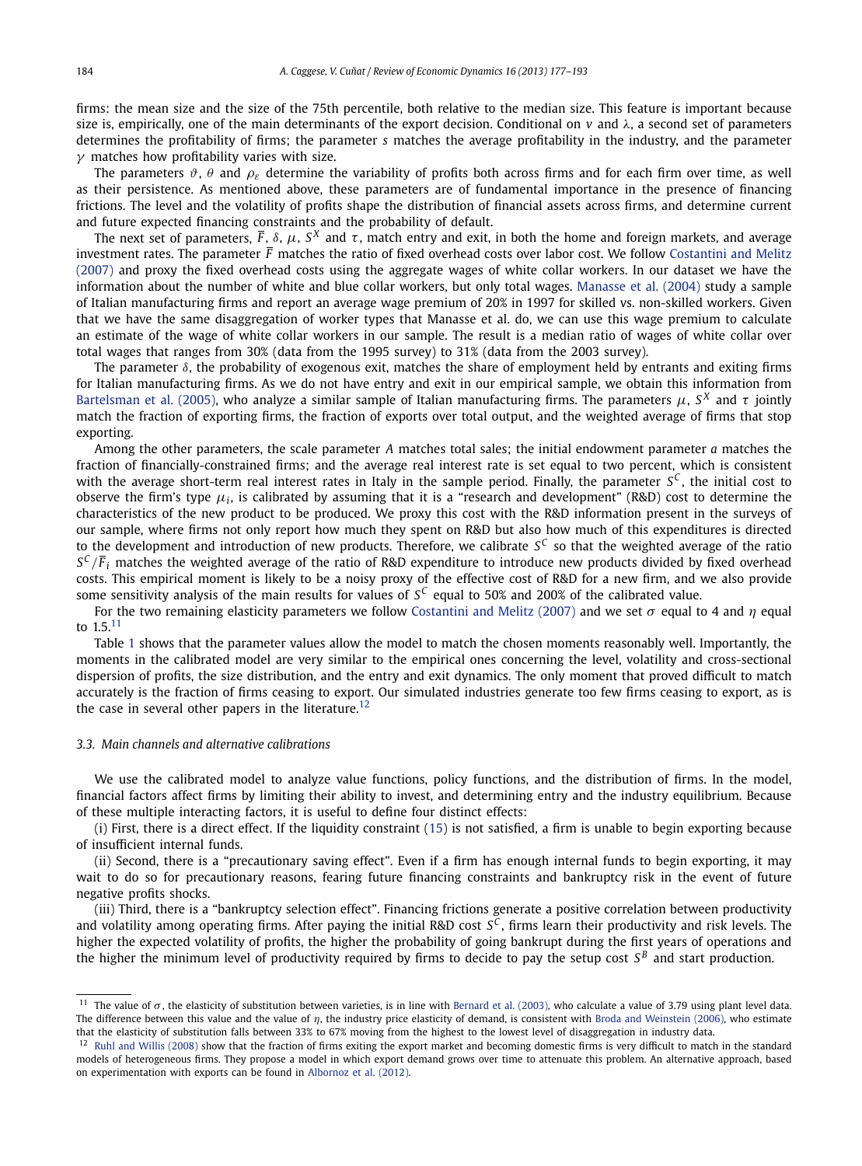firms: the mean size and the size of the 75th percentile, both relative to the median size. This feature is important because size is, empirically, one of the main determinants of the export decision. Conditional on *v* and *λ*, a second set of parameters determines the profitability of firms; the parameter *s* matches the average profitability in the industry, and the parameter *γ* matches how profitability varies with size.

The parameters  $\vartheta$ ,  $\theta$  and  $\rho_{\varepsilon}$  determine the variability of profits both across firms and for each firm over time, as well as their persistence. As mentioned above, these parameters are of fundamental importance in the presence of financing frictions. The level and the volatility of profits shape the distribution of financial assets across firms, and determine current and future expected financing constraints and the probability of default.

The next set of parameters,  $\bar{F}$ ,  $\delta$ ,  $\mu$ ,  $S^X$  and  $\tau$ , match entry and exit, in both the home and foreign markets, and average investment rates. The parameter  $\bar{F}$  matches the ratio of fixed overhead costs over labor cost. We follow [Costantini and Melitz](#page-16-0) [\(2007\)](#page-16-0) and proxy the fixed overhead costs using the aggregate wages of white collar workers. In our dataset we have the information about the number of white and blue collar workers, but only total wages. [Manasse et al. \(2004\)](#page-16-0) study a sample of Italian manufacturing firms and report an average wage premium of 20% in 1997 for skilled vs. non-skilled workers. Given that we have the same disaggregation of worker types that Manasse et al. do, we can use this wage premium to calculate an estimate of the wage of white collar workers in our sample. The result is a median ratio of wages of white collar over total wages that ranges from 30% (data from the 1995 survey) to 31% (data from the 2003 survey).

The parameter *δ*, the probability of exogenous exit, matches the share of employment held by entrants and exiting firms for Italian manufacturing firms. As we do not have entry and exit in our empirical sample, we obtain this information from [Bartelsman et al. \(2005\),](#page-15-0) who analyze a similar sample of Italian manufacturing firms. The parameters *μ*, *S <sup>X</sup>* and *τ* jointly match the fraction of exporting firms, the fraction of exports over total output, and the weighted average of firms that stop exporting.

Among the other parameters, the scale parameter *A* matches total sales; the initial endowment parameter *a* matches the fraction of financially-constrained firms; and the average real interest rate is set equal to two percent, which is consistent with the average short-term real interest rates in Italy in the sample period. Finally, the parameter *S<sup>C</sup>* , the initial cost to observe the firm's type  $\mu_i$ , is calibrated by assuming that it is a "research and development" (R&D) cost to determine the characteristics of the new product to be produced. We proxy this cost with the R&D information present in the surveys of our sample, where firms not only report how much they spent on R&D but also how much of this expenditures is directed to the development and introduction of new products. Therefore, we calibrate *S<sup>C</sup>* so that the weighted average of the ratio  $S^{C}/\overline{F}_{i}$  matches the weighted average of the ratio of R&D expenditure to introduce new products divided by fixed overhead costs. This empirical moment is likely to be a noisy proxy of the effective cost of R&D for a new firm, and we also provide some sensitivity analysis of the main results for values of *S<sup>C</sup>* equal to 50% and 200% of the calibrated value.

For the two remaining elasticity parameters we follow [Costantini and Melitz \(2007\)](#page-16-0) and we set *σ* equal to 4 and *η* equal to 1.5.11

Table [1](#page-6-0) shows that the parameter values allow the model to match the chosen moments reasonably well. Importantly, the moments in the calibrated model are very similar to the empirical ones concerning the level, volatility and cross-sectional dispersion of profits, the size distribution, and the entry and exit dynamics. The only moment that proved difficult to match accurately is the fraction of firms ceasing to export. Our simulated industries generate too few firms ceasing to export, as is the case in several other papers in the literature.<sup>12</sup>

#### *3.3. Main channels and alternative calibrations*

We use the calibrated model to analyze value functions, policy functions, and the distribution of firms. In the model, financial factors affect firms by limiting their ability to invest, and determining entry and the industry equilibrium. Because of these multiple interacting factors, it is useful to define four distinct effects:

(i) First, there is a direct effect. If the liquidity constraint [\(15\)](#page-3-0) is not satisfied, a firm is unable to begin exporting because of insufficient internal funds.

(ii) Second, there is a "precautionary saving effect". Even if a firm has enough internal funds to begin exporting, it may wait to do so for precautionary reasons, fearing future financing constraints and bankruptcy risk in the event of future negative profits shocks.

(iii) Third, there is a "bankruptcy selection effect". Financing frictions generate a positive correlation between productivity and volatility among operating firms. After paying the initial R&D cost  $S<sup>C</sup>$ , firms learn their productivity and risk levels. The higher the expected volatility of profits, the higher the probability of going bankrupt during the first years of operations and the higher the minimum level of productivity required by firms to decide to pay the setup cost  $S<sup>B</sup>$  and start production.

<sup>&</sup>lt;sup>11</sup> The value of  $\sigma$ , the elasticity of substitution between varieties, is in line with [Bernard et al. \(2003\),](#page-15-0) who calculate a value of 3.79 using plant level data. The difference between this value and the value of *η*, the industry price elasticity of demand, is consistent with [Broda and Weinstein \(2006\),](#page-16-0) who estimate that the elasticity of substitution falls between 33% to 67% moving from the highest to the lowest level of disaggregation in industry data.

<sup>&</sup>lt;sup>12</sup> [Ruhl and Willis \(2008\)](#page-16-0) show that the fraction of firms exiting the export market and becoming domestic firms is very difficult to match in the standard models of heterogeneous firms. They propose a model in which export demand grows over time to attenuate this problem. An alternative approach, based on experimentation with exports can be found in [Albornoz et al. \(2012\).](#page-15-0)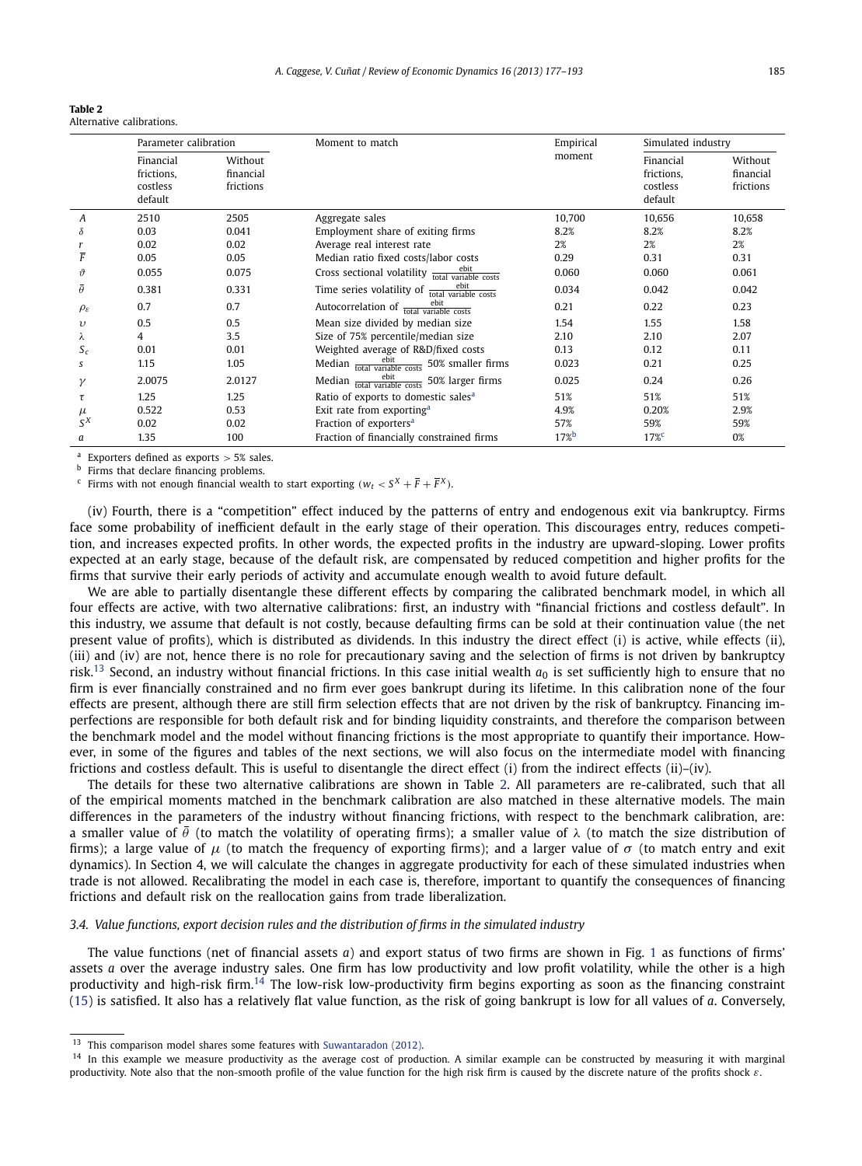**Table 2** Alternative calibrations.

|                      | Parameter calibration                          |                                   | Moment to match                                                              |        | Simulated industry                             |                                   |
|----------------------|------------------------------------------------|-----------------------------------|------------------------------------------------------------------------------|--------|------------------------------------------------|-----------------------------------|
|                      | Financial<br>frictions,<br>costless<br>default | Without<br>financial<br>frictions |                                                                              | moment | Financial<br>frictions,<br>costless<br>default | Without<br>financial<br>frictions |
| A                    | 2510                                           | 2505                              | Aggregate sales                                                              | 10,700 | 10,656                                         | 10,658                            |
| δ                    | 0.03                                           | 0.041                             | Employment share of exiting firms                                            | 8.2%   | 8.2%                                           | 8.2%                              |
|                      | 0.02                                           | 0.02                              | Average real interest rate                                                   | 2%     | 2%                                             | 2%                                |
| $\overline{F}$       | 0.05                                           | 0.05                              | Median ratio fixed costs/labor costs                                         | 0.29   | 0.31                                           | 0.31                              |
| θ                    | 0.055                                          | 0.075                             | Cross sectional volatility $\frac{\text{ebit}}{\text{total variable costs}}$ | 0.060  | 0.060                                          | 0.061                             |
| $\bar{\theta}$       | 0.381                                          | 0.331                             | Time series volatility of $\frac{\text{ebit}}{\text{total variable costs}}$  | 0.034  | 0.042                                          | 0.042                             |
| $\rho_{\varepsilon}$ | 0.7                                            | 0.7                               | Autocorrelation of $\frac{\text{ebit}}{\text{total variable costs}}$         | 0.21   | 0.22                                           | 0.23                              |
| υ                    | 0.5                                            | 0.5                               | Mean size divided by median size                                             | 1.54   | 1.55                                           | 1.58                              |
| λ                    | 4                                              | 3.5                               | Size of 75% percentile/median size                                           | 2.10   | 2.10                                           | 2.07                              |
| $S_c$                | 0.01                                           | 0.01                              | Weighted average of R&D/fixed costs                                          | 0.13   | 0.12                                           | 0.11                              |
| S                    | 1.15                                           | 1.05                              | Median $\frac{\text{ebit}}{\text{total variable costs}}$ 50% smaller firms   | 0.023  | 0.21                                           | 0.25                              |
| γ                    | 2.0075                                         | 2.0127                            | Median $\frac{\text{ebit}}{\text{total variable costs}}$ 50% larger firms    | 0.025  | 0.24                                           | 0.26                              |
| τ                    | 1.25                                           | 1.25                              | Ratio of exports to domestic sales <sup>a</sup>                              | 51%    | 51%                                            | 51%                               |
| $\mu$                | 0.522                                          | 0.53                              | Exit rate from exporting <sup>a</sup>                                        | 4.9%   | 0.20%                                          | 2.9%                              |
| $S^X$                | 0.02                                           | 0.02                              | Fraction of exporters <sup>a</sup>                                           | 57%    | 59%                                            | 59%                               |
| a                    | 1.35                                           | 100                               | Fraction of financially constrained firms                                    | $17\%$ | $17\%$ <sup>c</sup>                            | 0%                                |

<sup>a</sup> Exporters defined as exports *>* 5% sales.

**b** Firms that declare financing problems.

<sup>c</sup> Firms with not enough financial wealth to start exporting  $(w_t < S^X + \overline{F} + \overline{F}^X)$ .

(iv) Fourth, there is a "competition" effect induced by the patterns of entry and endogenous exit via bankruptcy. Firms face some probability of inefficient default in the early stage of their operation. This discourages entry, reduces competition, and increases expected profits. In other words, the expected profits in the industry are upward-sloping. Lower profits expected at an early stage, because of the default risk, are compensated by reduced competition and higher profits for the firms that survive their early periods of activity and accumulate enough wealth to avoid future default.

We are able to partially disentangle these different effects by comparing the calibrated benchmark model, in which all four effects are active, with two alternative calibrations: first, an industry with "financial frictions and costless default". In this industry, we assume that default is not costly, because defaulting firms can be sold at their continuation value (the net present value of profits), which is distributed as dividends. In this industry the direct effect (i) is active, while effects (ii), (iii) and (iv) are not, hence there is no role for precautionary saving and the selection of firms is not driven by bankruptcy risk.<sup>13</sup> Second, an industry without financial frictions. In this case initial wealth  $a_0$  is set sufficiently high to ensure that no firm is ever financially constrained and no firm ever goes bankrupt during its lifetime. In this calibration none of the four effects are present, although there are still firm selection effects that are not driven by the risk of bankruptcy. Financing imperfections are responsible for both default risk and for binding liquidity constraints, and therefore the comparison between the benchmark model and the model without financing frictions is the most appropriate to quantify their importance. However, in some of the figures and tables of the next sections, we will also focus on the intermediate model with financing frictions and costless default. This is useful to disentangle the direct effect (i) from the indirect effects (ii)–(iv).

The details for these two alternative calibrations are shown in Table 2. All parameters are re-calibrated, such that all of the empirical moments matched in the benchmark calibration are also matched in these alternative models. The main differences in the parameters of the industry without financing frictions, with respect to the benchmark calibration, are: a smaller value of *θ* (to match the volatility of operating firms); a smaller value of *λ* (to match the size distribution of firms); a large value of *μ* (to match the frequency of exporting firms); and a larger value of *σ* (to match entry and exit dynamics). In Section 4, we will calculate the changes in aggregate productivity for each of these simulated industries when trade is not allowed. Recalibrating the model in each case is, therefore, important to quantify the consequences of financing frictions and default risk on the reallocation gains from trade liberalization.

# *3.4. Value functions, export decision rules and the distribution of firms in the simulated industry*

The value functions (net of financial assets *a*) and export status of two firms are shown in Fig. [1](#page-9-0) as functions of firms' assets *a* over the average industry sales. One firm has low productivity and low profit volatility, while the other is a high productivity and high-risk firm.<sup>14</sup> The low-risk low-productivity firm begins exporting as soon as the financing constraint [\(15\)](#page-3-0) is satisfied. It also has a relatively flat value function, as the risk of going bankrupt is low for all values of *a*. Conversely,

<sup>&</sup>lt;sup>13</sup> This comparison model shares some features with [Suwantaradon \(2012\).](#page-16-0)

<sup>&</sup>lt;sup>14</sup> In this example we measure productivity as the average cost of production. A similar example can be constructed by measuring it with marginal productivity. Note also that the non-smooth profile of the value function for the high risk firm is caused by the discrete nature of the profits shock *ε*.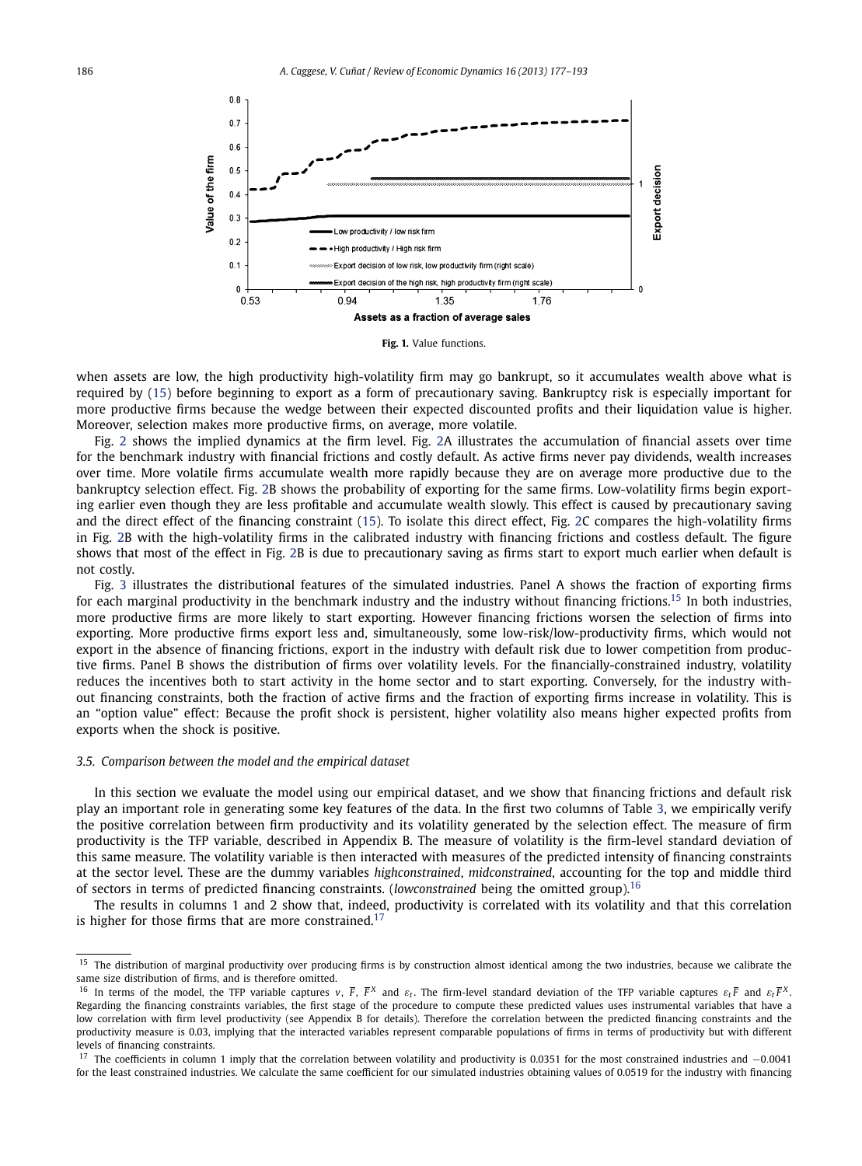<span id="page-9-0"></span>

**Fig. 1.** Value functions.

when assets are low, the high productivity high-volatility firm may go bankrupt, so it accumulates wealth above what is required by [\(15\)](#page-3-0) before beginning to export as a form of precautionary saving. Bankruptcy risk is especially important for more productive firms because the wedge between their expected discounted profits and their liquidation value is higher. Moreover, selection makes more productive firms, on average, more volatile.

Fig. [2](#page-10-0) shows the implied dynamics at the firm level. Fig. [2A](#page-10-0) illustrates the accumulation of financial assets over time for the benchmark industry with financial frictions and costly default. As active firms never pay dividends, wealth increases over time. More volatile firms accumulate wealth more rapidly because they are on average more productive due to the bankruptcy selection effect. Fig. [2B](#page-10-0) shows the probability of exporting for the same firms. Low-volatility firms begin exporting earlier even though they are less profitable and accumulate wealth slowly. This effect is caused by precautionary saving and the direct effect of the financing constraint [\(15\)](#page-3-0). To isolate this direct effect, Fig. [2C](#page-10-0) compares the high-volatility firms in Fig. [2B](#page-10-0) with the high-volatility firms in the calibrated industry with financing frictions and costless default. The figure shows that most of the effect in Fig. [2B](#page-10-0) is due to precautionary saving as firms start to export much earlier when default is not costly.

Fig. [3](#page-11-0) illustrates the distributional features of the simulated industries. Panel A shows the fraction of exporting firms for each marginal productivity in the benchmark industry and the industry without financing frictions.<sup>15</sup> In both industries, more productive firms are more likely to start exporting. However financing frictions worsen the selection of firms into exporting. More productive firms export less and, simultaneously, some low-risk/low-productivity firms, which would not export in the absence of financing frictions, export in the industry with default risk due to lower competition from productive firms. Panel B shows the distribution of firms over volatility levels. For the financially-constrained industry, volatility reduces the incentives both to start activity in the home sector and to start exporting. Conversely, for the industry without financing constraints, both the fraction of active firms and the fraction of exporting firms increase in volatility. This is an "option value" effect: Because the profit shock is persistent, higher volatility also means higher expected profits from exports when the shock is positive.

#### *3.5. Comparison between the model and the empirical dataset*

In this section we evaluate the model using our empirical dataset, and we show that financing frictions and default risk play an important role in generating some key features of the data. In the first two columns of Table [3,](#page-11-0) we empirically verify the positive correlation between firm productivity and its volatility generated by the selection effect. The measure of firm productivity is the TFP variable, described in Appendix B. The measure of volatility is the firm-level standard deviation of this same measure. The volatility variable is then interacted with measures of the predicted intensity of financing constraints at the sector level. These are the dummy variables *highconstrained*, *midconstrained*, accounting for the top and middle third of sectors in terms of predicted financing constraints. (*lowconstrained* being the omitted group).<sup>16</sup>

The results in columns 1 and 2 show that, indeed, productivity is correlated with its volatility and that this correlation is higher for those firms that are more constrained.<sup>17</sup>

<sup>&</sup>lt;sup>15</sup> The distribution of marginal productivity over producing firms is by construction almost identical among the two industries, because we calibrate the same size distribution of firms, and is therefore omitted.

<sup>&</sup>lt;sup>16</sup> In terms of the model, the TFP variable captures v,  $\overline{F}$ ,  $\overline{F}^X$  and  $\varepsilon_t$ . The firm-level standard deviation of the TFP variable captures  $\varepsilon_t \overline{F}$  and  $\varepsilon_t \overline{F}^X$ . Regarding the financing constraints variables, the first stage of the procedure to compute these predicted values uses instrumental variables that have a low correlation with firm level productivity (see Appendix B for details). Therefore the correlation between the predicted financing constraints and the productivity measure is 0.03, implying that the interacted variables represent comparable populations of firms in terms of productivity but with different levels of financing constraints.

<sup>17</sup> The coefficients in column 1 imply that the correlation between volatility and productivity is 0.0351 for the most constrained industries and −0*.*0041 for the least constrained industries. We calculate the same coefficient for our simulated industries obtaining values of 0.0519 for the industry with financing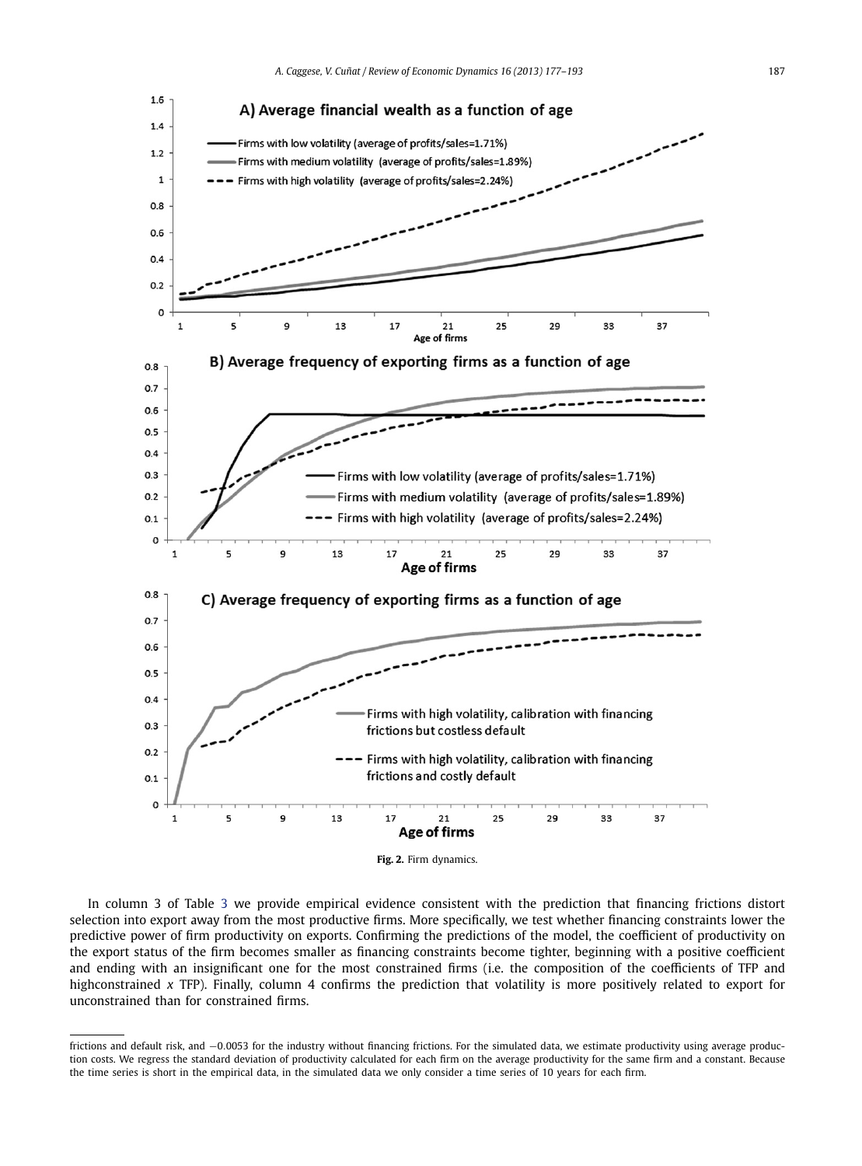<span id="page-10-0"></span>

**Fig. 2.** Firm dynamics.

In column 3 of Table [3](#page-11-0) we provide empirical evidence consistent with the prediction that financing frictions distort selection into export away from the most productive firms. More specifically, we test whether financing constraints lower the predictive power of firm productivity on exports. Confirming the predictions of the model, the coefficient of productivity on the export status of the firm becomes smaller as financing constraints become tighter, beginning with a positive coefficient and ending with an insignificant one for the most constrained firms (i.e. the composition of the coefficients of TFP and highconstrained *x* TFP). Finally, column 4 confirms the prediction that volatility is more positively related to export for unconstrained than for constrained firms.

frictions and default risk, and −0.0053 for the industry without financing frictions. For the simulated data, we estimate productivity using average production costs. We regress the standard deviation of productivity calculated for each firm on the average productivity for the same firm and a constant. Because the time series is short in the empirical data, in the simulated data we only consider a time series of 10 years for each firm.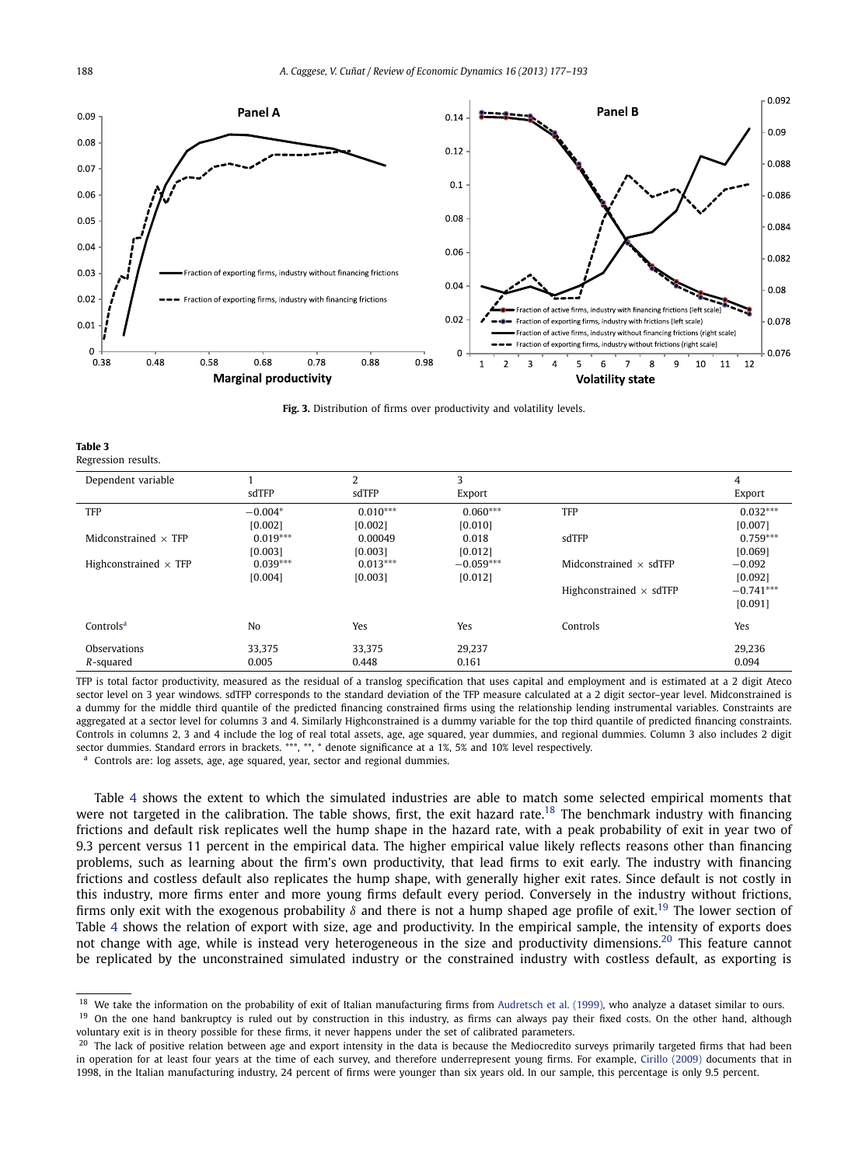<span id="page-11-0"></span>

**Fig. 3.** Distribution of firms over productivity and volatility levels.

| lab |  |
|-----|--|
|-----|--|

Regression results.

| Dependent variable           |            | 2          | 3           |                                | 4           |
|------------------------------|------------|------------|-------------|--------------------------------|-------------|
|                              | sdTFP      | sdTFP      | Export      |                                | Export      |
| <b>TFP</b>                   | $-0.004*$  | $0.010***$ | $0.060***$  | TFP                            | $0.032***$  |
|                              | [0.002]    | [0.002]    | [0.010]     |                                | [0.007]     |
| Midconstrained $\times$ TFP  | $0.019***$ | 0.00049    | 0.018       | sdTFP                          | $0.759***$  |
|                              | [0.003]    | [0.003]    | [0.012]     |                                | [0.069]     |
| Highconstrained $\times$ TFP | $0.039***$ | $0.013***$ | $-0.059***$ | Midconstrained $\times$ sdTFP  | $-0.092$    |
|                              | [0.004]    | [0.003]    | [0.012]     |                                | [0.092]     |
|                              |            |            |             | Highconstrained $\times$ sdTFP | $-0.741***$ |
|                              |            |            |             |                                | [0.091]     |
| Controls <sup>a</sup>        | No         | Yes        | Yes         | Controls                       | Yes         |
|                              |            |            |             |                                |             |
| Observations                 | 33.375     | 33,375     | 29.237      |                                | 29.236      |
| $R$ -squared                 | 0.005      | 0.448      | 0.161       |                                | 0.094       |

TFP is total factor productivity, measured as the residual of a translog specification that uses capital and employment and is estimated at a 2 digit Ateco sector level on 3 year windows. sdTFP corresponds to the standard deviation of the TFP measure calculated at a 2 digit sector–year level. Midconstrained is a dummy for the middle third quantile of the predicted financing constrained firms using the relationship lending instrumental variables. Constraints are aggregated at a sector level for columns 3 and 4. Similarly Highconstrained is a dummy variable for the top third quantile of predicted financing constraints. Controls in columns 2, 3 and 4 include the log of real total assets, age, age squared, year dummies, and regional dummies. Column 3 also includes 2 digit sector dummies. Standard errors in brackets. \*\*\*, \*\*, \* denote significance at a 1%, 5% and 10% level respectively.

<sup>a</sup> Controls are: log assets, age, age squared, year, sector and regional dummies.

Table [4](#page-12-0) shows the extent to which the simulated industries are able to match some selected empirical moments that were not targeted in the calibration. The table shows, first, the exit hazard rate.<sup>18</sup> The benchmark industry with financing frictions and default risk replicates well the hump shape in the hazard rate, with a peak probability of exit in year two of 9.3 percent versus 11 percent in the empirical data. The higher empirical value likely reflects reasons other than financing problems, such as learning about the firm's own productivity, that lead firms to exit early. The industry with financing frictions and costless default also replicates the hump shape, with generally higher exit rates. Since default is not costly in this industry, more firms enter and more young firms default every period. Conversely in the industry without frictions, firms only exit with the exogenous probability *δ* and there is not a hump shaped age profile of exit.<sup>19</sup> The lower section of Table [4](#page-12-0) shows the relation of export with size, age and productivity. In the empirical sample, the intensity of exports does not change with age, while is instead very heterogeneous in the size and productivity dimensions.<sup>20</sup> This feature cannot be replicated by the unconstrained simulated industry or the constrained industry with costless default, as exporting is

<sup>&</sup>lt;sup>18</sup> We take the information on the probability of exit of Italian manufacturing firms from [Audretsch et al. \(1999\),](#page-15-0) who analyze a dataset similar to ours.

<sup>&</sup>lt;sup>19</sup> On the one hand bankruptcy is ruled out by construction in this industry, as firms can always pay their fixed costs. On the other hand, although voluntary exit is in theory possible for these firms, it never happens under the set of calibrated parameters.

 $20$  The lack of positive relation between age and export intensity in the data is because the Mediocredito surveys primarily targeted firms that had been in operation for at least four years at the time of each survey, and therefore underrepresent young firms. For example, [Cirillo \(2009\)](#page-16-0) documents that in 1998, in the Italian manufacturing industry, 24 percent of firms were younger than six years old. In our sample, this percentage is only 9.5 percent.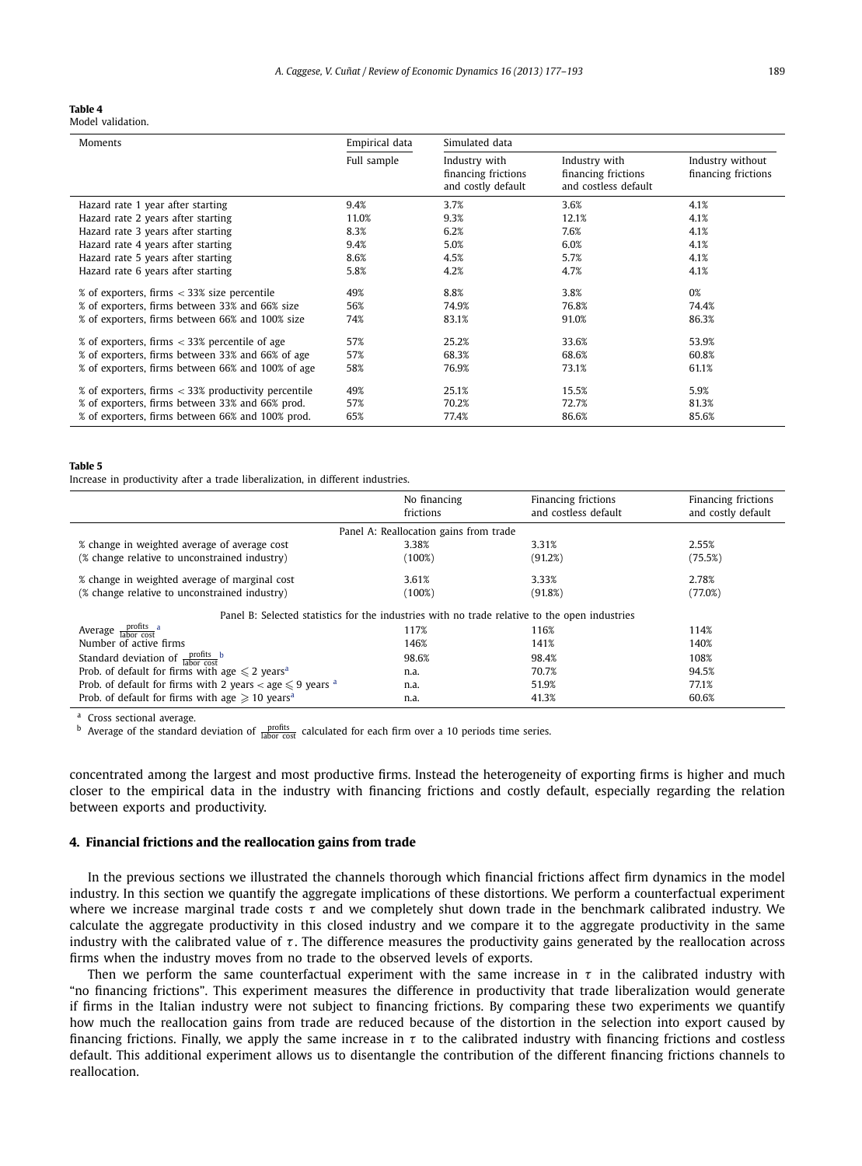# <span id="page-12-0"></span>**Table 4**

|  | Model validation. |
|--|-------------------|
|--|-------------------|

| Moments                                                                                                | Empirical data | Simulated data                                             |                                                              |                                         |
|--------------------------------------------------------------------------------------------------------|----------------|------------------------------------------------------------|--------------------------------------------------------------|-----------------------------------------|
|                                                                                                        | Full sample    | Industry with<br>financing frictions<br>and costly default | Industry with<br>financing frictions<br>and costless default | Industry without<br>financing frictions |
| Hazard rate 1 year after starting                                                                      | 9.4%           | 3.7%                                                       | 3.6%                                                         | 4.1%                                    |
| Hazard rate 2 years after starting                                                                     | 11.0%          | 9.3%                                                       | 12.1%                                                        | 4.1%                                    |
| Hazard rate 3 years after starting                                                                     | 8.3%           | 6.2%                                                       | 7.6%                                                         | 4.1%                                    |
| Hazard rate 4 years after starting                                                                     | 9.4%           | 5.0%                                                       | 6.0%                                                         | 4.1%                                    |
| Hazard rate 5 years after starting                                                                     | 8.6%           | 4.5%                                                       | 5.7%                                                         | 4.1%                                    |
| Hazard rate 6 years after starting                                                                     | 5.8%           | 4.2%                                                       | 4.7%                                                         | 4.1%                                    |
| % of exporters, firms < 33% size percentile                                                            | 49%            | 8.8%                                                       | 3.8%                                                         | 0%                                      |
| % of exporters, firms between 33% and 66% size                                                         | 56%            | 74.9%                                                      | 76.8%                                                        | 74.4%                                   |
| % of exporters, firms between 66% and 100% size                                                        | 74%            | 83.1%                                                      | 91.0%                                                        | 86.3%                                   |
| % of exporters, firms < 33% percentile of age                                                          | 57%            | 25.2%                                                      | 33.6%                                                        | 53.9%                                   |
| % of exporters, firms between 33% and 66% of age                                                       | 57%            | 68.3%                                                      | 68.6%                                                        | 60.8%                                   |
| % of exporters, firms between 66% and 100% of age                                                      | 58%            | 76.9%                                                      | 73.1%                                                        | 61.1%                                   |
| % of exporters, firms < 33% productivity percentile<br>% of exporters, firms between 33% and 66% prod. | 49%<br>57%     | 25.1%<br>70.2%                                             | 15.5%<br>72.7%                                               | 5.9%<br>81.3%                           |
| % of exporters, firms between 66% and 100% prod.                                                       | 65%            | 77.4%                                                      | 86.6%                                                        | 85.6%                                   |

#### **Table 5**

Increase in productivity after a trade liberalization, in different industries.

|                                                                                               | No financing<br>frictions              | Financing frictions<br>and costless default | Financing frictions<br>and costly default |
|-----------------------------------------------------------------------------------------------|----------------------------------------|---------------------------------------------|-------------------------------------------|
|                                                                                               | Panel A: Reallocation gains from trade |                                             |                                           |
| % change in weighted average of average cost                                                  | 3.38%                                  | 3.31%                                       | 2.55%                                     |
| (% change relative to unconstrained industry)                                                 | (100%)                                 | (91.2%)                                     | (75.5%)                                   |
| % change in weighted average of marginal cost                                                 | 3.61%                                  | 3.33%                                       | 2.78%                                     |
| (% change relative to unconstrained industry)                                                 | (100%)                                 | (91.8%)                                     | (77.0%)                                   |
| Panel B: Selected statistics for the industries with no trade relative to the open industries |                                        |                                             |                                           |
| Average $\frac{\text{profits}}{\text{labor cost}}$ <sup>a</sup>                               | 117%                                   | 116%                                        | 114%                                      |
| Number of active firms                                                                        | 146%                                   | 141%                                        | 140%                                      |
| Standard deviation of $\frac{\text{profits}}{\text{labor cost}}$                              | 98.6%                                  | 98.4%                                       | 108%                                      |
| Prob. of default for firms with age $\leq 2$ years <sup>a</sup>                               | n.a.                                   | 70.7%                                       | 94.5%                                     |
| Prob. of default for firms with 2 years $<$ age $\leq 9$ years $^{\rm a}$                     | n.a.                                   | 51.9%                                       | 77.1%                                     |
| Prob. of default for firms with age $\geq 10$ years <sup>a</sup>                              | n.a.                                   | 41.3%                                       | 60.6%                                     |

<sup>a</sup> Cross sectional average.

<sup>b</sup> Average of the standard deviation of  $\frac{1}{\text{labor cost}}$  calculated for each firm over a 10 periods time series.

concentrated among the largest and most productive firms. Instead the heterogeneity of exporting firms is higher and much closer to the empirical data in the industry with financing frictions and costly default, especially regarding the relation between exports and productivity.

# **4. Financial frictions and the reallocation gains from trade**

In the previous sections we illustrated the channels thorough which financial frictions affect firm dynamics in the model industry. In this section we quantify the aggregate implications of these distortions. We perform a counterfactual experiment where we increase marginal trade costs *τ* and we completely shut down trade in the benchmark calibrated industry. We calculate the aggregate productivity in this closed industry and we compare it to the aggregate productivity in the same industry with the calibrated value of  $\tau$ . The difference measures the productivity gains generated by the reallocation across firms when the industry moves from no trade to the observed levels of exports.

Then we perform the same counterfactual experiment with the same increase in  $\tau$  in the calibrated industry with "no financing frictions". This experiment measures the difference in productivity that trade liberalization would generate if firms in the Italian industry were not subject to financing frictions. By comparing these two experiments we quantify how much the reallocation gains from trade are reduced because of the distortion in the selection into export caused by financing frictions. Finally, we apply the same increase in *τ* to the calibrated industry with financing frictions and costless default. This additional experiment allows us to disentangle the contribution of the different financing frictions channels to reallocation.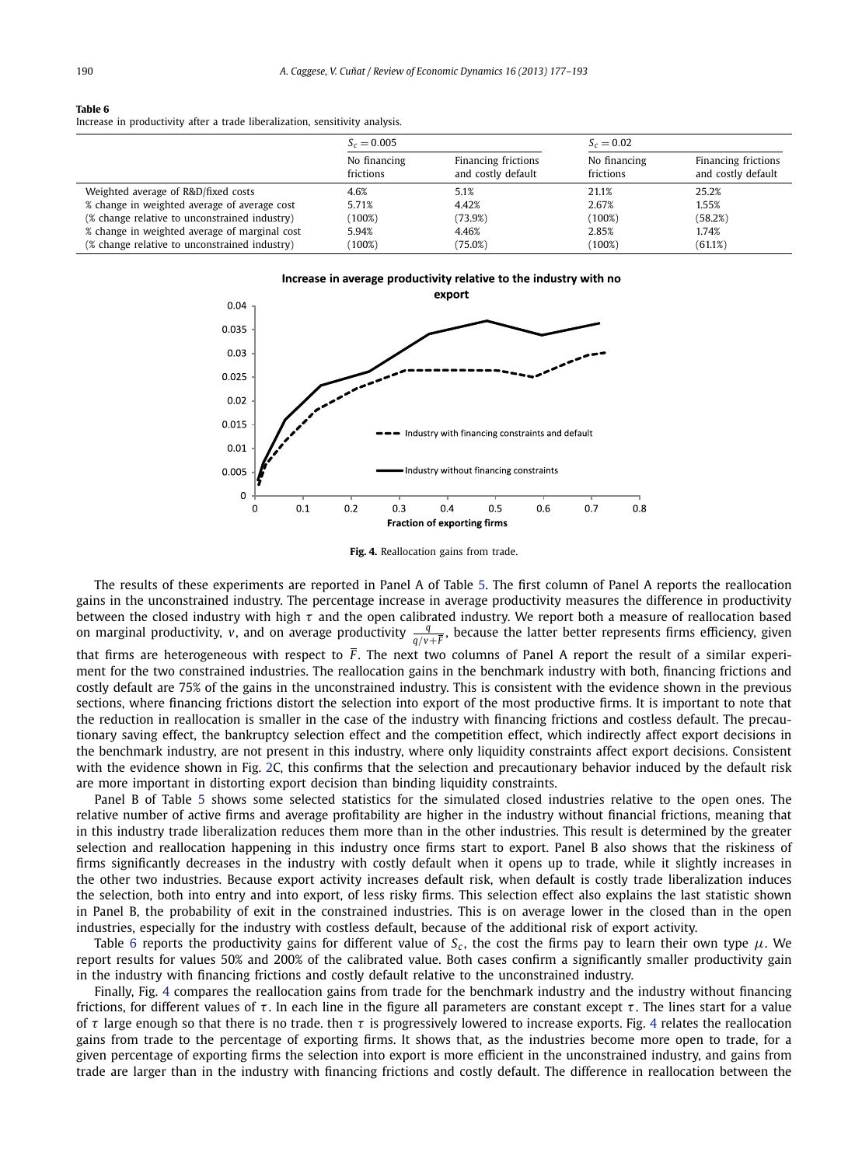# **Table 6**

|                                               | $S_c = 0.005$             |                                           | $S_c = 0.02$              |                                           |
|-----------------------------------------------|---------------------------|-------------------------------------------|---------------------------|-------------------------------------------|
|                                               | No financing<br>frictions | Financing frictions<br>and costly default | No financing<br>frictions | Financing frictions<br>and costly default |
| Weighted average of R&D/fixed costs           | 4.6%                      | 5.1%                                      | 21.1%                     | 25.2%                                     |
| % change in weighted average of average cost  | 5.71%                     | 4.42%                                     | 2.67%                     | 1.55%                                     |
| (% change relative to unconstrained industry) | $(100\%)$                 | (73.9%)                                   | (100%)                    | (58.2%)                                   |
| % change in weighted average of marginal cost | 5.94%                     | 4.46%                                     | 2.85%                     | 1.74%                                     |
| (% change relative to unconstrained industry) | $100\%)$                  | $(75.0\%)$                                | (100%)                    | (61.1%)                                   |



**Fig. 4.** Reallocation gains from trade.

The results of these experiments are reported in Panel A of Table [5.](#page-12-0) The first column of Panel A reports the reallocation gains in the unconstrained industry. The percentage increase in average productivity measures the difference in productivity between the closed industry with high *τ* and the open calibrated industry. We report both a measure of reallocation based on marginal productivity, *v*, and on average productivity  $\frac{q}{q/\nu+F}$ , because the latter better represents firms efficiency, given

that firms are heterogeneous with respect to *F* . The next two columns of Panel A report the result of a similar experiment for the two constrained industries. The reallocation gains in the benchmark industry with both, financing frictions and costly default are 75% of the gains in the unconstrained industry. This is consistent with the evidence shown in the previous sections, where financing frictions distort the selection into export of the most productive firms. It is important to note that the reduction in reallocation is smaller in the case of the industry with financing frictions and costless default. The precautionary saving effect, the bankruptcy selection effect and the competition effect, which indirectly affect export decisions in the benchmark industry, are not present in this industry, where only liquidity constraints affect export decisions. Consistent with the evidence shown in Fig. [2C](#page-10-0), this confirms that the selection and precautionary behavior induced by the default risk are more important in distorting export decision than binding liquidity constraints.

Panel B of Table [5](#page-12-0) shows some selected statistics for the simulated closed industries relative to the open ones. The relative number of active firms and average profitability are higher in the industry without financial frictions, meaning that in this industry trade liberalization reduces them more than in the other industries. This result is determined by the greater selection and reallocation happening in this industry once firms start to export. Panel B also shows that the riskiness of firms significantly decreases in the industry with costly default when it opens up to trade, while it slightly increases in the other two industries. Because export activity increases default risk, when default is costly trade liberalization induces the selection, both into entry and into export, of less risky firms. This selection effect also explains the last statistic shown in Panel B, the probability of exit in the constrained industries. This is on average lower in the closed than in the open industries, especially for the industry with costless default, because of the additional risk of export activity.

Table 6 reports the productivity gains for different value of  $S_c$ , the cost the firms pay to learn their own type  $\mu$ . We report results for values 50% and 200% of the calibrated value. Both cases confirm a significantly smaller productivity gain in the industry with financing frictions and costly default relative to the unconstrained industry.

Finally, Fig. 4 compares the reallocation gains from trade for the benchmark industry and the industry without financing frictions, for different values of *τ* . In each line in the figure all parameters are constant except *τ* . The lines start for a value of *τ* large enough so that there is no trade. then *τ* is progressively lowered to increase exports. Fig. 4 relates the reallocation gains from trade to the percentage of exporting firms. It shows that, as the industries become more open to trade, for a given percentage of exporting firms the selection into export is more efficient in the unconstrained industry, and gains from trade are larger than in the industry with financing frictions and costly default. The difference in reallocation between the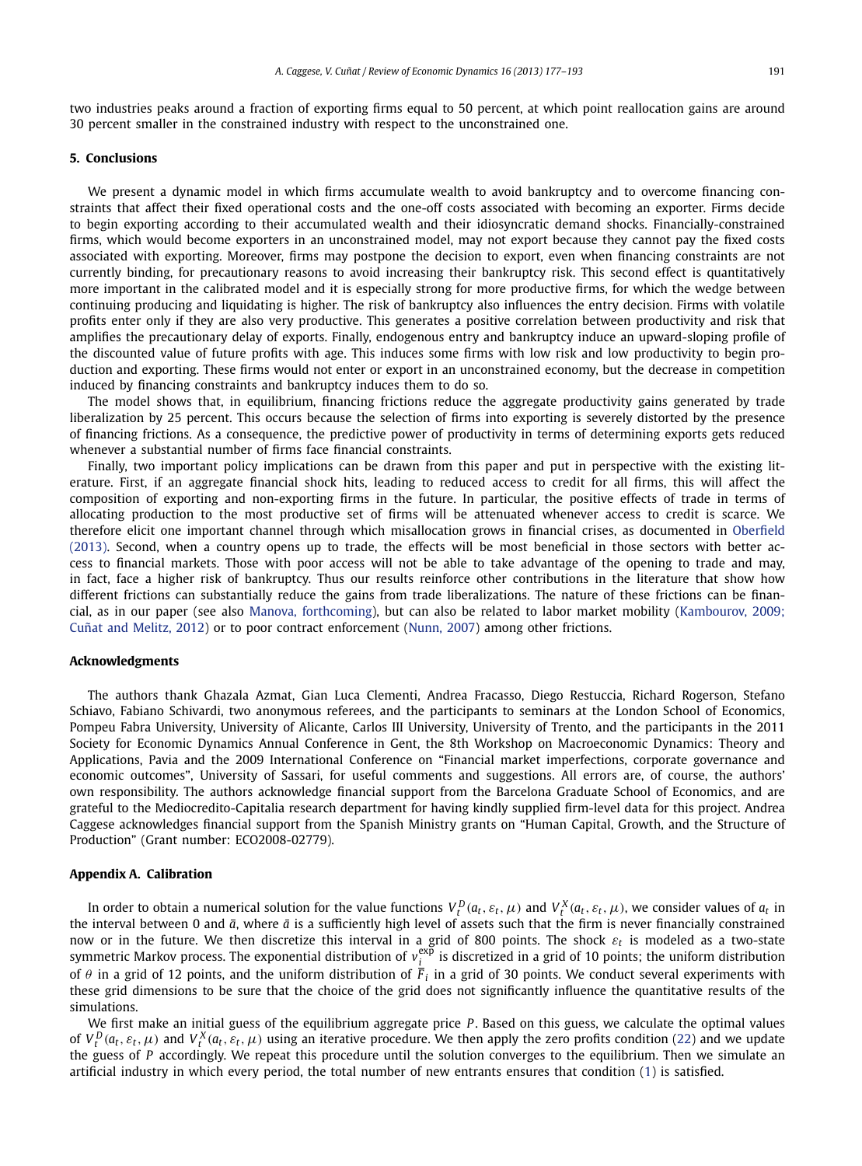two industries peaks around a fraction of exporting firms equal to 50 percent, at which point reallocation gains are around 30 percent smaller in the constrained industry with respect to the unconstrained one.

# **5. Conclusions**

We present a dynamic model in which firms accumulate wealth to avoid bankruptcy and to overcome financing constraints that affect their fixed operational costs and the one-off costs associated with becoming an exporter. Firms decide to begin exporting according to their accumulated wealth and their idiosyncratic demand shocks. Financially-constrained firms, which would become exporters in an unconstrained model, may not export because they cannot pay the fixed costs associated with exporting. Moreover, firms may postpone the decision to export, even when financing constraints are not currently binding, for precautionary reasons to avoid increasing their bankruptcy risk. This second effect is quantitatively more important in the calibrated model and it is especially strong for more productive firms, for which the wedge between continuing producing and liquidating is higher. The risk of bankruptcy also influences the entry decision. Firms with volatile profits enter only if they are also very productive. This generates a positive correlation between productivity and risk that amplifies the precautionary delay of exports. Finally, endogenous entry and bankruptcy induce an upward-sloping profile of the discounted value of future profits with age. This induces some firms with low risk and low productivity to begin production and exporting. These firms would not enter or export in an unconstrained economy, but the decrease in competition induced by financing constraints and bankruptcy induces them to do so.

The model shows that, in equilibrium, financing frictions reduce the aggregate productivity gains generated by trade liberalization by 25 percent. This occurs because the selection of firms into exporting is severely distorted by the presence of financing frictions. As a consequence, the predictive power of productivity in terms of determining exports gets reduced whenever a substantial number of firms face financial constraints.

Finally, two important policy implications can be drawn from this paper and put in perspective with the existing literature. First, if an aggregate financial shock hits, leading to reduced access to credit for all firms, this will affect the composition of exporting and non-exporting firms in the future. In particular, the positive effects of trade in terms of allocating production to the most productive set of firms will be attenuated whenever access to credit is scarce. We therefore elicit one important channel through which misallocation grows in financial crises, as documented in [Oberfield](#page-16-0) [\(2013\).](#page-16-0) Second, when a country opens up to trade, the effects will be most beneficial in those sectors with better access to financial markets. Those with poor access will not be able to take advantage of the opening to trade and may, in fact, face a higher risk of bankruptcy. Thus our results reinforce other contributions in the literature that show how different frictions can substantially reduce the gains from trade liberalizations. The nature of these frictions can be financial, as in our paper (see also [Manova, forthcoming\)](#page-16-0), but can also be related to labor market mobility [\(Kambourov, 2009;](#page-16-0) [Cuñat and Melitz, 2012\)](#page-16-0) or to poor contract enforcement [\(Nunn, 2007\)](#page-16-0) among other frictions.

#### **Acknowledgments**

The authors thank Ghazala Azmat, Gian Luca Clementi, Andrea Fracasso, Diego Restuccia, Richard Rogerson, Stefano Schiavo, Fabiano Schivardi, two anonymous referees, and the participants to seminars at the London School of Economics, Pompeu Fabra University, University of Alicante, Carlos III University, University of Trento, and the participants in the 2011 Society for Economic Dynamics Annual Conference in Gent, the 8th Workshop on Macroeconomic Dynamics: Theory and Applications, Pavia and the 2009 International Conference on "Financial market imperfections, corporate governance and economic outcomes", University of Sassari, for useful comments and suggestions. All errors are, of course, the authors' own responsibility. The authors acknowledge financial support from the Barcelona Graduate School of Economics, and are grateful to the Mediocredito-Capitalia research department for having kindly supplied firm-level data for this project. Andrea Caggese acknowledges financial support from the Spanish Ministry grants on "Human Capital, Growth, and the Structure of Production" (Grant number: ECO2008-02779).

#### **Appendix A. Calibration**

In order to obtain a numerical solution for the value functions  $V_t^D(a_t,\varepsilon_t,\mu)$  and  $V_t^X(a_t,\varepsilon_t,\mu)$ , we consider values of  $a_t$  in the interval between 0 and *a*, where *a* is a sufficiently high level of assets such that the firm is never financially constrained now or in the future. We then discretize this interval in a grid of 800 points. The shock *ε<sup>t</sup>* is modeled as a two-state symmetric Markov process. The exponential distribution of  $v_i^{\rm exp}$  is discretized in a grid of 10 points; the uniform distribution of  $\theta$  in a grid of 12 points, and the uniform distribution of  $\overline{F}_i$  in a grid of 30 points. We conduct several experiments with these grid dimensions to be sure that the choice of the grid does not significantly influence the quantitative results of the simulations.

We first make an initial guess of the equilibrium aggregate price P. Based on this guess, we calculate the optimal values of  $V_t^D(a_t,\varepsilon_t,\mu)$  and  $V_t^X(a_t,\varepsilon_t,\mu)$  using an iterative procedure. We then apply the zero profits condition [\(22\)](#page-5-0) and we update the guess of *P* accordingly. We repeat this procedure until the solution converges to the equilibrium. Then we simulate an artificial industry in which every period, the total number of new entrants ensures that condition [\(1\)](#page-2-0) is satisfied.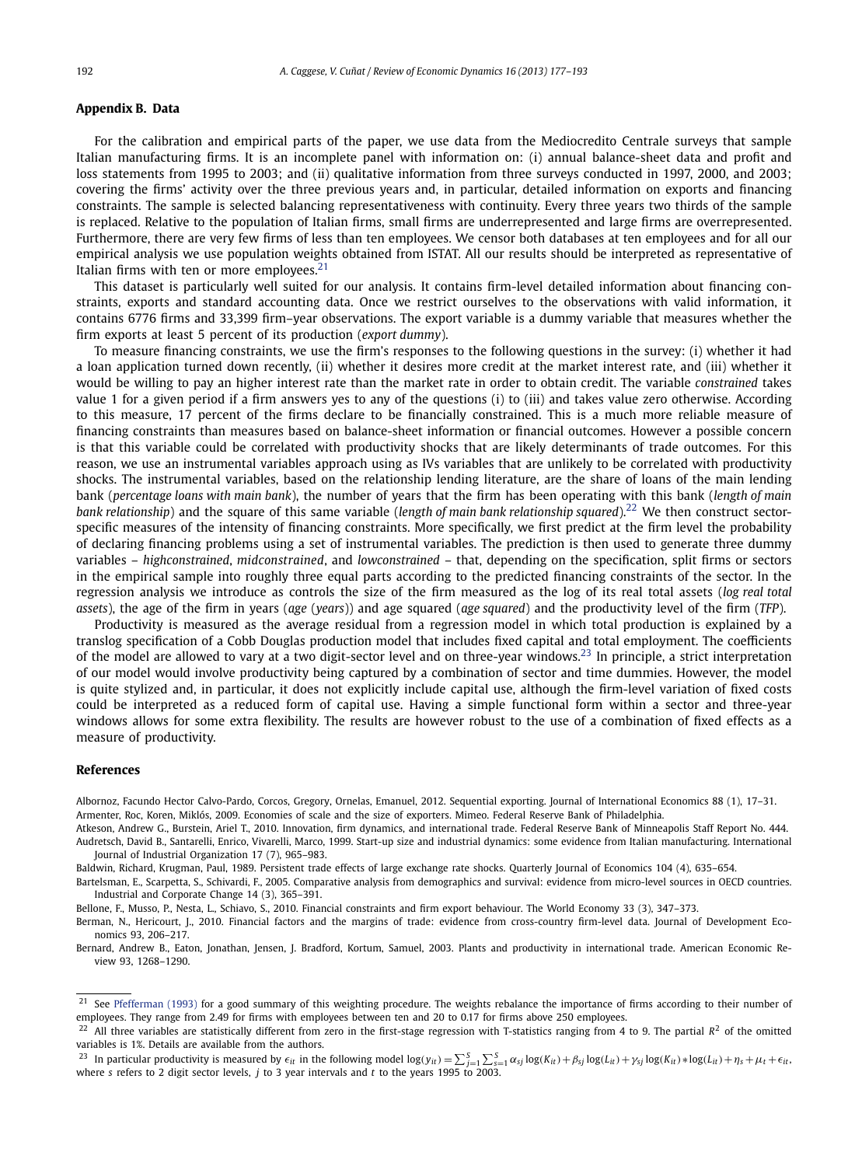# <span id="page-15-0"></span>**Appendix B. Data**

For the calibration and empirical parts of the paper, we use data from the Mediocredito Centrale surveys that sample Italian manufacturing firms. It is an incomplete panel with information on: (i) annual balance-sheet data and profit and loss statements from 1995 to 2003; and (ii) qualitative information from three surveys conducted in 1997, 2000, and 2003; covering the firms' activity over the three previous years and, in particular, detailed information on exports and financing constraints. The sample is selected balancing representativeness with continuity. Every three years two thirds of the sample is replaced. Relative to the population of Italian firms, small firms are underrepresented and large firms are overrepresented. Furthermore, there are very few firms of less than ten employees. We censor both databases at ten employees and for all our empirical analysis we use population weights obtained from ISTAT. All our results should be interpreted as representative of Italian firms with ten or more employees. $21$ 

This dataset is particularly well suited for our analysis. It contains firm-level detailed information about financing constraints, exports and standard accounting data. Once we restrict ourselves to the observations with valid information, it contains 6776 firms and 33,399 firm–year observations. The export variable is a dummy variable that measures whether the firm exports at least 5 percent of its production (*export dummy*).

To measure financing constraints, we use the firm's responses to the following questions in the survey: (i) whether it had a loan application turned down recently, (ii) whether it desires more credit at the market interest rate, and (iii) whether it would be willing to pay an higher interest rate than the market rate in order to obtain credit. The variable *constrained* takes value 1 for a given period if a firm answers yes to any of the questions (i) to (iii) and takes value zero otherwise. According to this measure, 17 percent of the firms declare to be financially constrained. This is a much more reliable measure of financing constraints than measures based on balance-sheet information or financial outcomes. However a possible concern is that this variable could be correlated with productivity shocks that are likely determinants of trade outcomes. For this reason, we use an instrumental variables approach using as IVs variables that are unlikely to be correlated with productivity shocks. The instrumental variables, based on the relationship lending literature, are the share of loans of the main lending bank (*percentage loans with main bank*), the number of years that the firm has been operating with this bank (*length of main bank relationship*) and the square of this same variable (*length of main bank relationship squared*).<sup>22</sup> We then construct sectorspecific measures of the intensity of financing constraints. More specifically, we first predict at the firm level the probability of declaring financing problems using a set of instrumental variables. The prediction is then used to generate three dummy variables – *highconstrained*, *midconstrained*, and *lowconstrained* – that, depending on the specification, split firms or sectors in the empirical sample into roughly three equal parts according to the predicted financing constraints of the sector. In the regression analysis we introduce as controls the size of the firm measured as the log of its real total assets (*log real total assets*), the age of the firm in years (*age* (*years*)) and age squared (*age squared*) and the productivity level of the firm (*TFP*).

Productivity is measured as the average residual from a regression model in which total production is explained by a translog specification of a Cobb Douglas production model that includes fixed capital and total employment. The coefficients of the model are allowed to vary at a two digit-sector level and on three-year windows.<sup>23</sup> In principle, a strict interpretation of our model would involve productivity being captured by a combination of sector and time dummies. However, the model is quite stylized and, in particular, it does not explicitly include capital use, although the firm-level variation of fixed costs could be interpreted as a reduced form of capital use. Having a simple functional form within a sector and three-year windows allows for some extra flexibility. The results are however robust to the use of a combination of fixed effects as a measure of productivity.

#### **References**

Albornoz, Facundo Hector Calvo-Pardo, Corcos, Gregory, Ornelas, Emanuel, 2012. Sequential exporting. Journal of International Economics 88 (1), 17–31. Armenter, Roc, Koren, Miklós, 2009. Economies of scale and the size of exporters. Mimeo. Federal Reserve Bank of Philadelphia.

Atkeson, Andrew G., Burstein, Ariel T., 2010. Innovation, firm dynamics, and international trade. Federal Reserve Bank of Minneapolis Staff Report No. 444. Audretsch, David B., Santarelli, Enrico, Vivarelli, Marco, 1999. Start-up size and industrial dynamics: some evidence from Italian manufacturing. International Journal of Industrial Organization 17 (7), 965–983.

Baldwin, Richard, Krugman, Paul, 1989. Persistent trade effects of large exchange rate shocks. Quarterly Journal of Economics 104 (4), 635–654.

Bartelsman, E., Scarpetta, S., Schivardi, F., 2005. Comparative analysis from demographics and survival: evidence from micro-level sources in OECD countries. Industrial and Corporate Change 14 (3), 365–391.

Bellone, F., Musso, P., Nesta, L., Schiavo, S., 2010. Financial constraints and firm export behaviour. The World Economy 33 (3), 347–373.

Berman, N., Hericourt, J., 2010. Financial factors and the margins of trade: evidence from cross-country firm-level data. Journal of Development Economics 93, 206–217.

Bernard, Andrew B., Eaton, Jonathan, Jensen, J. Bradford, Kortum, Samuel, 2003. Plants and productivity in international trade. American Economic Review 93, 1268–1290.

<sup>&</sup>lt;sup>21</sup> See [Pfefferman \(1993\)](#page-16-0) for a good summary of this weighting procedure. The weights rebalance the importance of firms according to their number of employees. They range from 2.49 for firms with employees between ten and 20 to 0.17 for firms above 250 employees.

All three variables are statistically different from zero in the first-stage regression with T-statistics ranging from 4 to 9. The partial *R*<sup>2</sup> of the omitted variables is 1%. Details are available from the authors.

<sup>&</sup>lt;sup>23</sup> In particular productivity is measured by  $\epsilon_{it}$  in the following model  $\log(y_{it}) = \sum_{j=1}^{S} \sum_{s=1}^{S} \alpha_{sj} \log(K_{it}) + \beta_{sj} \log(L_{it}) + \gamma_{sj} \log(K_{it}) * \log(L_{it}) + \eta_{s} + \mu_{t} + \epsilon_{it}$ where *s* refers to 2 digit sector levels, *j* to 3 year intervals and *t* to the years 1995 to 2003.